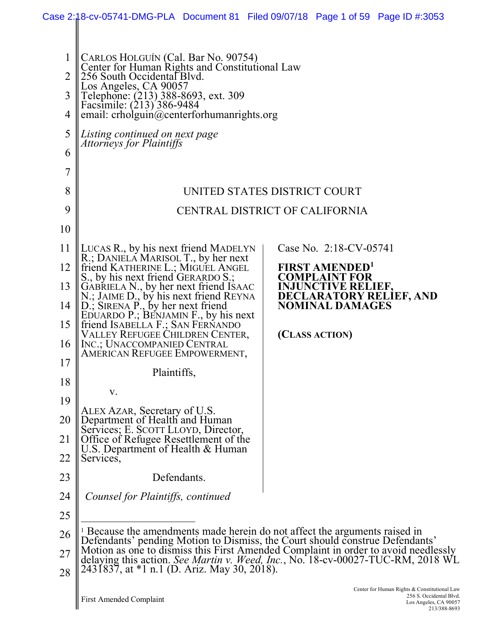|                |                                                                                                                                                                                                                   | Case 2:18-cv-05741-DMG-PLA Document 81 Filed 09/07/18 Page 1 of 59 Page ID #:3053                                |  |  |  |  |
|----------------|-------------------------------------------------------------------------------------------------------------------------------------------------------------------------------------------------------------------|------------------------------------------------------------------------------------------------------------------|--|--|--|--|
|                |                                                                                                                                                                                                                   |                                                                                                                  |  |  |  |  |
| $\mathbf 1$    | CARLOS HOLGUÍN (Cal. Bar No. 90754)<br>Center for Human Rights and Constitutional Law                                                                                                                             |                                                                                                                  |  |  |  |  |
| $\overline{2}$ | 256 South Occidental Blvd.<br>Los Angeles, CA 90057<br>Telephone: (213) 388-8693, ext. 309                                                                                                                        |                                                                                                                  |  |  |  |  |
| 3              |                                                                                                                                                                                                                   |                                                                                                                  |  |  |  |  |
| 4              | Facsimile: (213) 386-9484<br>email: $crholguin@centerforhuman rights.org$                                                                                                                                         |                                                                                                                  |  |  |  |  |
| 5              | Listing continued on next page<br><i>Attorneys for Plaintiffs</i>                                                                                                                                                 |                                                                                                                  |  |  |  |  |
| 6              |                                                                                                                                                                                                                   |                                                                                                                  |  |  |  |  |
| $\overline{7}$ |                                                                                                                                                                                                                   |                                                                                                                  |  |  |  |  |
| 8              |                                                                                                                                                                                                                   | UNITED STATES DISTRICT COURT                                                                                     |  |  |  |  |
| 9              |                                                                                                                                                                                                                   | CENTRAL DISTRICT OF CALIFORNIA                                                                                   |  |  |  |  |
| 10             |                                                                                                                                                                                                                   |                                                                                                                  |  |  |  |  |
| 11             | LUCAS R., by his next friend MADELYN<br>R.; DANIELA MARISOL T., by her next                                                                                                                                       | Case No. 2:18-CV-05741                                                                                           |  |  |  |  |
| 12             | friend KATHERINE L.; MIGUEL ANGEL<br>S., by his next friend GERARDO S.;                                                                                                                                           | <b>FIRST AMENDED'</b><br><b>COMPLAINT FOR</b>                                                                    |  |  |  |  |
| 13             | GABRIELA N., by her next friend ISAAC<br>N.; JAIME D., by his next friend REYNA                                                                                                                                   | <b>INJUNCTIVE RELIEF,</b><br><b>DECLARATORY RELIEF, AND</b>                                                      |  |  |  |  |
| 14             | $D_{\cdot}$ ; SIRENA $P_{\cdot}$ by her next friend<br>EDUARDO P.; BENJAMIN F., by his next                                                                                                                       | <b>NOMINAL DAMAGES</b>                                                                                           |  |  |  |  |
| 15             | friend ISABELLA F.; SAN FERNANDO<br>VALLEY REFUGEE CHILDREN CENTER,                                                                                                                                               | (CLASS ACTION)                                                                                                   |  |  |  |  |
| 16             | INC.; UNACCOMPANIED CENTRAL<br>AMERICAN REFUGEE EMPOWERMENT,                                                                                                                                                      |                                                                                                                  |  |  |  |  |
| 17             | Plaintiffs,                                                                                                                                                                                                       |                                                                                                                  |  |  |  |  |
| 18             | V.                                                                                                                                                                                                                |                                                                                                                  |  |  |  |  |
| 19             | ALEX AZAR, Secretary of U.S.                                                                                                                                                                                      |                                                                                                                  |  |  |  |  |
| 20             |                                                                                                                                                                                                                   |                                                                                                                  |  |  |  |  |
| 21             | Department of Health and Human<br>Services: E. SCOTT LLOYD, Director,<br>Office of Refugee Resettlement of the<br>U.S. Department of Health & Human                                                               |                                                                                                                  |  |  |  |  |
| 22             | Services,                                                                                                                                                                                                         |                                                                                                                  |  |  |  |  |
| 23             | Defendants.                                                                                                                                                                                                       |                                                                                                                  |  |  |  |  |
| 24             | Counsel for Plaintiffs, continued                                                                                                                                                                                 |                                                                                                                  |  |  |  |  |
| 25             |                                                                                                                                                                                                                   |                                                                                                                  |  |  |  |  |
| 26             | <sup>1</sup> Because the amendments made herein do not affect the arguments raised in<br>Defendants' pending Motion to Dismiss, the Court should construe Defendants'                                             |                                                                                                                  |  |  |  |  |
| 27<br>28       | Motion as one to dismiss this First Amended Complaint in order to avoid needlessly delaying this action. See Martin v. Weed, Inc., No. 18-cv-00027-TUC-RM, 2018 WL<br>2431837, at *1 n.1 (D. Ariz. May 30, 2018). |                                                                                                                  |  |  |  |  |
|                | <b>First Amended Complaint</b>                                                                                                                                                                                    | Center for Human Rights & Constitutional Law<br>256 S. Occidental Blvd.<br>Los Angeles, CA 90057<br>213/388-8693 |  |  |  |  |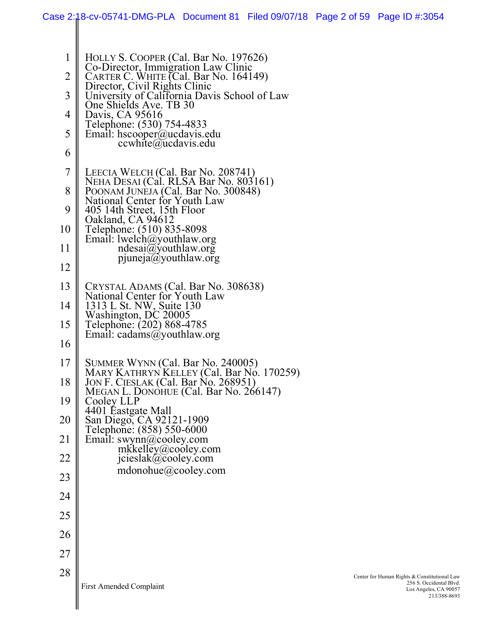|                     | Case 2:18-cv-05741-DMG-PLA Document 81 Filed 09/07/18 Page 2 of 59 Page ID #:3054                                           |  |                                                                                                                  |
|---------------------|-----------------------------------------------------------------------------------------------------------------------------|--|------------------------------------------------------------------------------------------------------------------|
|                     |                                                                                                                             |  |                                                                                                                  |
| 1                   | HOLLY S. COOPER (Cal. Bar No. 197626)<br>Co-Director, Immigration Law Clinic                                                |  |                                                                                                                  |
| $\overline{2}$      | CARTER C. WHITE (Cal. Bar No. 164149)<br>Director, Civil Rights Clinic                                                      |  |                                                                                                                  |
| 3                   | University of California Davis School of Law<br>One Shields Ave. TB 30                                                      |  |                                                                                                                  |
| 4                   | Davis, CA 95616<br>Telephone: (530) 754-4833                                                                                |  |                                                                                                                  |
| 5                   | Email: hscooper $(a)$ ucdavis.edu<br>$ccwhite$ @ucdavis.edu                                                                 |  |                                                                                                                  |
| 6                   |                                                                                                                             |  |                                                                                                                  |
| $\overline{7}$<br>8 | LEECIA WELCH (Cal. Bar No. 208741)<br>NEHA DESAI (Cal. RLSA Bar No. 803161)                                                 |  |                                                                                                                  |
| 9                   | POONAM JUNEJA (Cal. Bar No. 300848)<br>National Center for Youth Law<br>405 14th Street, 15th Floor                         |  |                                                                                                                  |
| 10                  | Oakland, CA 94612<br>Telephone: (510) 835-8098                                                                              |  |                                                                                                                  |
| 11                  | Email: lwelch@youthlaw.org<br>ndesai@youthlaw.org                                                                           |  |                                                                                                                  |
| 12                  | $p$ juneja $\alpha$ youthlaw.org                                                                                            |  |                                                                                                                  |
| 13                  | CRYSTAL ADAMS (Cal. Bar No. 308638)                                                                                         |  |                                                                                                                  |
| 14                  | National Center for Youth Law<br>1313 L St. NW, Suite 130                                                                   |  |                                                                                                                  |
| 15                  | Washington, DC 20005<br>Telephone: (202) 868-4785                                                                           |  |                                                                                                                  |
| 16                  | Email: cadams@youthlaw.org                                                                                                  |  |                                                                                                                  |
| 17                  | SUMMER WYNN (Cal. Bar No. 240005)                                                                                           |  |                                                                                                                  |
| 18                  | MARY KATHRYN KELLEY (Cal. Bar No. 170259)<br>JON F. CIESLAK (Cal. Bar No. 268951)<br>MEGAN L. DONOHUE (Cal. Bar No. 266147) |  |                                                                                                                  |
| 19                  | Cooley LLP                                                                                                                  |  |                                                                                                                  |
| 20                  | 4401 Éastgate Mall<br>San Diego, CA 92121-1909                                                                              |  |                                                                                                                  |
| 21                  | Telephone: (858) 550-6000<br>Email: swynn@cooley.com<br>mkkelley@cooley.com                                                 |  |                                                                                                                  |
| 22                  | jcieslak@cooley.com                                                                                                         |  |                                                                                                                  |
| 23                  | mdonohue@cooley.com                                                                                                         |  |                                                                                                                  |
| 24                  |                                                                                                                             |  |                                                                                                                  |
| 25                  |                                                                                                                             |  |                                                                                                                  |
| 26                  |                                                                                                                             |  |                                                                                                                  |
| 27                  |                                                                                                                             |  |                                                                                                                  |
| 28                  | <b>First Amended Complaint</b>                                                                                              |  | Center for Human Rights & Constitutional Law<br>256 S. Occidental Blvd.<br>Los Angeles, CA 90057<br>213/388-8693 |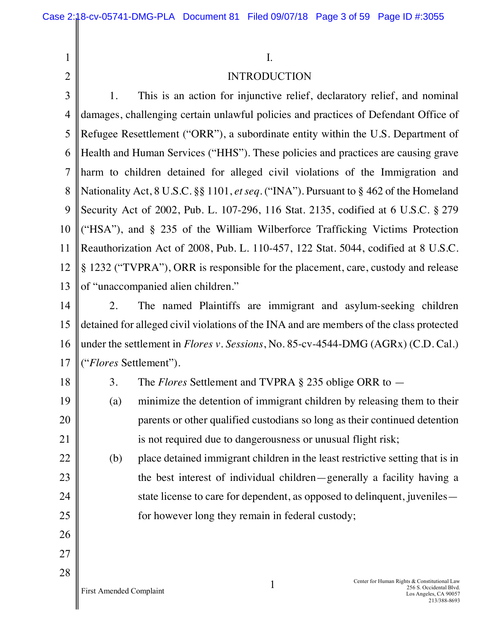| $\mathbf{1}$   |                         | Ι.                                                                                        |                                                                                                                  |
|----------------|-------------------------|-------------------------------------------------------------------------------------------|------------------------------------------------------------------------------------------------------------------|
| $\overline{2}$ |                         | <b>INTRODUCTION</b>                                                                       |                                                                                                                  |
| 3              | 1.                      | This is an action for injunctive relief, declaratory relief, and nominal                  |                                                                                                                  |
| 4              |                         | damages, challenging certain unlawful policies and practices of Defendant Office of       |                                                                                                                  |
| 5              |                         | Refugee Resettlement ("ORR"), a subordinate entity within the U.S. Department of          |                                                                                                                  |
| 6              |                         | Health and Human Services ("HHS"). These policies and practices are causing grave         |                                                                                                                  |
| 7              |                         | harm to children detained for alleged civil violations of the Immigration and             |                                                                                                                  |
| 8              |                         | Nationality Act, 8 U.S.C. §§ 1101, et seq. ("INA"). Pursuant to § 462 of the Homeland     |                                                                                                                  |
| 9              |                         | Security Act of 2002, Pub. L. 107-296, 116 Stat. 2135, codified at 6 U.S.C. § 279         |                                                                                                                  |
| 10             |                         | ("HSA"), and § 235 of the William Wilberforce Trafficking Victims Protection              |                                                                                                                  |
| 11             |                         | Reauthorization Act of 2008, Pub. L. 110-457, 122 Stat. 5044, codified at 8 U.S.C.        |                                                                                                                  |
| 12             |                         | § 1232 ("TVPRA"), ORR is responsible for the placement, care, custody and release         |                                                                                                                  |
| 13             |                         | of "unaccompanied alien children."                                                        |                                                                                                                  |
| 14             | 2.                      | The named Plaintiffs are immigrant and asylum-seeking children                            |                                                                                                                  |
| 15             |                         | detained for alleged civil violations of the INA and are members of the class protected   |                                                                                                                  |
| 16             |                         | under the settlement in <i>Flores v. Sessions</i> , No. 85-cv-4544-DMG (AGRx) (C.D. Cal.) |                                                                                                                  |
| 17             |                         | <i>("Flores Settlement").</i>                                                             |                                                                                                                  |
| 18             | 3.                      | The <i>Flores</i> Settlement and TVPRA $\S$ 235 oblige ORR to $-$                         |                                                                                                                  |
| 19             | (a)                     | minimize the detention of immigrant children by releasing them to their                   |                                                                                                                  |
| 20             |                         | parents or other qualified custodians so long as their continued detention                |                                                                                                                  |
| 21             |                         | is not required due to dangerousness or unusual flight risk;                              |                                                                                                                  |
| 22             | (b)                     | place detained immigrant children in the least restrictive setting that is in             |                                                                                                                  |
| 23             |                         | the best interest of individual children—generally a facility having a                    |                                                                                                                  |
| 24             |                         | state license to care for dependent, as opposed to delinquent, juveniles —                |                                                                                                                  |
| 25             |                         | for however long they remain in federal custody;                                          |                                                                                                                  |
| 26             |                         |                                                                                           |                                                                                                                  |
| 27             |                         |                                                                                           |                                                                                                                  |
| 28             | First Amended Complaint | 1                                                                                         | Center for Human Rights & Constitutional Law<br>256 S. Occidental Blvd.<br>Los Angeles, CA 90057<br>213/388-8693 |

 $\mathsf{l}$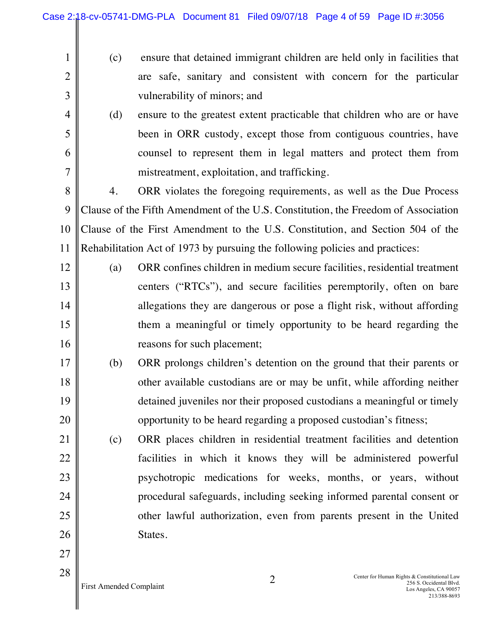(c) ensure that detained immigrant children are held only in facilities that are safe, sanitary and consistent with concern for the particular vulnerability of minors; and (d) ensure to the greatest extent practicable that children who are or have been in ORR custody, except those from contiguous countries, have counsel to represent them in legal matters and protect them from mistreatment, exploitation, and trafficking.

8 9 10 11 4. ORR violates the foregoing requirements, as well as the Due Process Clause of the Fifth Amendment of the U.S. Constitution, the Freedom of Association Clause of the First Amendment to the U.S. Constitution, and Section 504 of the Rehabilitation Act of 1973 by pursuing the following policies and practices:

- 12 13 14 15 16 (a) ORR confines children in medium secure facilities, residential treatment centers ("RTCs"), and secure facilities peremptorily, often on bare allegations they are dangerous or pose a flight risk, without affording them a meaningful or timely opportunity to be heard regarding the reasons for such placement;
- 17 18 19 20 (b) ORR prolongs children's detention on the ground that their parents or other available custodians are or may be unfit, while affording neither detained juveniles nor their proposed custodians a meaningful or timely opportunity to be heard regarding a proposed custodian's fitness;
- 21 22 23 24 25 26 (c) ORR places children in residential treatment facilities and detention facilities in which it knows they will be administered powerful psychotropic medications for weeks, months, or years, without procedural safeguards, including seeking informed parental consent or other lawful authorization, even from parents present in the United States.

27

28

1

2

3

4

5

6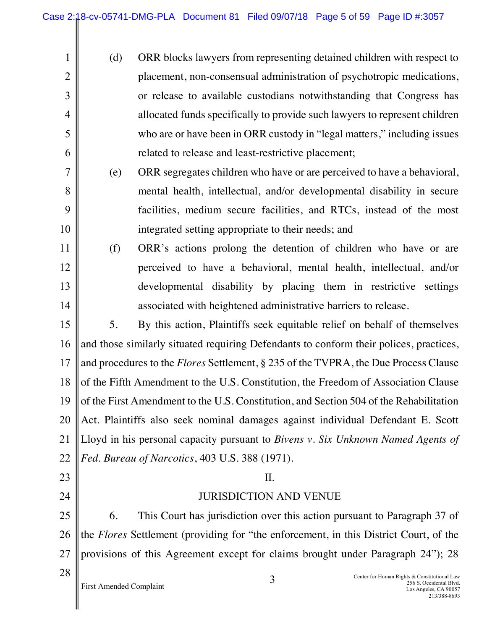Ш

| $\mathbf{1}$   | (d)                                                                                          | ORR blocks lawyers from representing detained children with respect to                                                |  |
|----------------|----------------------------------------------------------------------------------------------|-----------------------------------------------------------------------------------------------------------------------|--|
| $\overline{2}$ |                                                                                              | placement, non-consensual administration of psychotropic medications,                                                 |  |
| 3              |                                                                                              | or release to available custodians notwithstanding that Congress has                                                  |  |
| 4              |                                                                                              | allocated funds specifically to provide such lawyers to represent children                                            |  |
| 5              |                                                                                              | who are or have been in ORR custody in "legal matters," including issues                                              |  |
| 6              |                                                                                              | related to release and least-restrictive placement;                                                                   |  |
| 7              | (e)                                                                                          | ORR segregates children who have or are perceived to have a behavioral,                                               |  |
| 8              |                                                                                              | mental health, intellectual, and/or developmental disability in secure                                                |  |
| 9              |                                                                                              | facilities, medium secure facilities, and RTCs, instead of the most                                                   |  |
| 10             |                                                                                              | integrated setting appropriate to their needs; and                                                                    |  |
| 11             | (f)                                                                                          | ORR's actions prolong the detention of children who have or are                                                       |  |
| 12             |                                                                                              | perceived to have a behavioral, mental health, intellectual, and/or                                                   |  |
| 13             |                                                                                              | developmental disability by placing them in restrictive settings                                                      |  |
| 14             |                                                                                              | associated with heightened administrative barriers to release.                                                        |  |
| 15             | 5.                                                                                           | By this action, Plaintiffs seek equitable relief on behalf of themselves                                              |  |
| 16             | and those similarly situated requiring Defendants to conform their polices, practices,       |                                                                                                                       |  |
| 17             | and procedures to the <i>Flores</i> Settlement, § 235 of the TVPRA, the Due Process Clause   |                                                                                                                       |  |
| 18             | of the Fifth Amendment to the U.S. Constitution, the Freedom of Association Clause           |                                                                                                                       |  |
|                | 19 of the First Amendment to the U.S. Constitution, and Section 504 of the Rehabilitation    |                                                                                                                       |  |
| 20             | Act. Plaintiffs also seek nominal damages against individual Defendant E. Scott              |                                                                                                                       |  |
| 21             | Lloyd in his personal capacity pursuant to Bivens v. Six Unknown Named Agents of             |                                                                                                                       |  |
| 22             | Fed. Bureau of Narcotics, 403 U.S. 388 (1971).                                               |                                                                                                                       |  |
| 23             | $\prod$ .                                                                                    |                                                                                                                       |  |
| 24             | <b>JURISDICTION AND VENUE</b>                                                                |                                                                                                                       |  |
| 25             | 6.                                                                                           | This Court has jurisdiction over this action pursuant to Paragraph 37 of                                              |  |
| 26             | the <i>Flores</i> Settlement (providing for "the enforcement, in this District Court, of the |                                                                                                                       |  |
| 27             | provisions of this Agreement except for claims brought under Paragraph 24"); 28              |                                                                                                                       |  |
| 28             | First Amended Complaint                                                                      | Center for Human Rights & Constitutional Law<br>3<br>256 S. Occidental Blvd.<br>Los Angeles, CA 90057<br>213/388-8693 |  |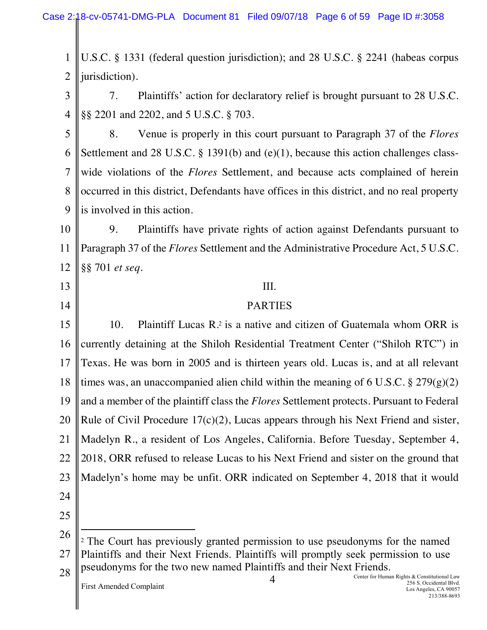Case 2:18-cv-05741-DMG-PLA Document 81 Filed 09/07/18 Page 6 of 59 Page ID #:3058

1 2 U.S.C. § 1331 (federal question jurisdiction); and 28 U.S.C. § 2241 (habeas corpus jurisdiction).

3 4 7. Plaintiffs' action for declaratory relief is brought pursuant to 28 U.S.C. §§ 2201 and 2202, and 5 U.S.C. § 703.

5 6 7 8 9 8. Venue is properly in this court pursuant to Paragraph 37 of the *Flores* Settlement and 28 U.S.C. § 1391(b) and (e)(1), because this action challenges classwide violations of the *Flores* Settlement, and because acts complained of herein occurred in this district, Defendants have offices in this district, and no real property is involved in this action.

10 11 12 9. Plaintiffs have private rights of action against Defendants pursuant to Paragraph 37 of the *Flores* Settlement and the Administrative Procedure Act, 5 U.S.C. §§ 701 *et seq*.

- 13
- 14

# III.

#### PARTIES

15 16 17 18 19 20 21 22 23 24 10. Plaintiff Lucas  $\mathbb{R}^2$  is a native and citizen of Guatemala whom ORR is currently detaining at the Shiloh Residential Treatment Center ("Shiloh RTC") in Texas. He was born in 2005 and is thirteen years old. Lucas is, and at all relevant times was, an unaccompanied alien child within the meaning of 6 U.S.C.  $\S 279(g)(2)$ and a member of the plaintiff class the *Flores* Settlement protects. Pursuant to Federal Rule of Civil Procedure 17(c)(2), Lucas appears through his Next Friend and sister, Madelyn R., a resident of Los Angeles, California. Before Tuesday, September 4, 2018, ORR refused to release Lucas to his Next Friend and sister on the ground that Madelyn's home may be unfit. ORR indicated on September 4, 2018 that it would

25

 $\overline{a}$ 

<sup>26</sup> 27 28 <sup>2</sup> The Court has previously granted permission to use pseudonyms for the named Plaintiffs and their Next Friends. Plaintiffs will promptly seek permission to use pseudonyms for the two new named Plaintiffs and their Next Friends.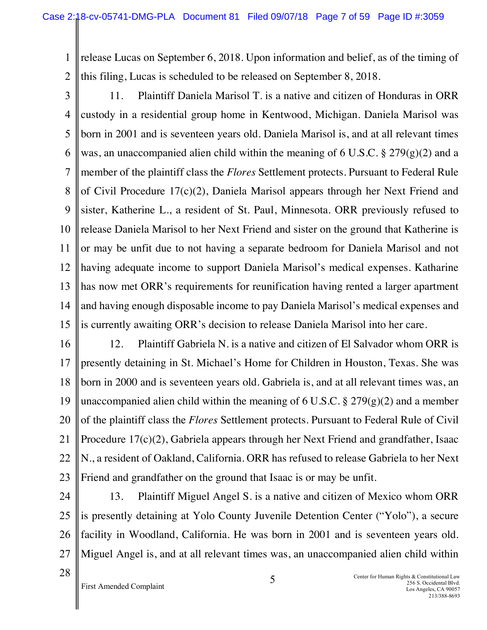1 2 release Lucas on September 6, 2018. Upon information and belief, as of the timing of this filing, Lucas is scheduled to be released on September 8, 2018.

3 4 5 6 7 8 9 10 11 12 13 14 15 11. Plaintiff Daniela Marisol T. is a native and citizen of Honduras in ORR custody in a residential group home in Kentwood, Michigan. Daniela Marisol was born in 2001 and is seventeen years old. Daniela Marisol is, and at all relevant times was, an unaccompanied alien child within the meaning of 6 U.S.C.  $\S 279(g)(2)$  and a member of the plaintiff class the *Flores* Settlement protects. Pursuant to Federal Rule of Civil Procedure 17(c)(2), Daniela Marisol appears through her Next Friend and sister, Katherine L., a resident of St. Paul, Minnesota. ORR previously refused to release Daniela Marisol to her Next Friend and sister on the ground that Katherine is or may be unfit due to not having a separate bedroom for Daniela Marisol and not having adequate income to support Daniela Marisol's medical expenses. Katharine has now met ORR's requirements for reunification having rented a larger apartment and having enough disposable income to pay Daniela Marisol's medical expenses and is currently awaiting ORR's decision to release Daniela Marisol into her care.

16 17 18 19 20 21 22 23 12. Plaintiff Gabriela N. is a native and citizen of El Salvador whom ORR is presently detaining in St. Michael's Home for Children in Houston, Texas. She was born in 2000 and is seventeen years old. Gabriela is, and at all relevant times was, an unaccompanied alien child within the meaning of 6 U.S.C.  $\S 279(g)(2)$  and a member of the plaintiff class the *Flores* Settlement protects. Pursuant to Federal Rule of Civil Procedure 17(c)(2), Gabriela appears through her Next Friend and grandfather, Isaac N., a resident of Oakland, California. ORR has refused to release Gabriela to her Next Friend and grandfather on the ground that Isaac is or may be unfit.

24 25 26 27 13. Plaintiff Miguel Angel S. is a native and citizen of Mexico whom ORR is presently detaining at Yolo County Juvenile Detention Center ("Yolo"), a secure facility in Woodland, California. He was born in 2001 and is seventeen years old. Miguel Angel is, and at all relevant times was, an unaccompanied alien child within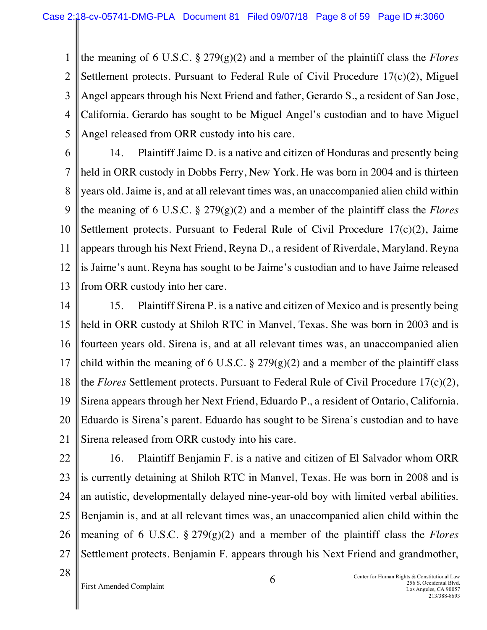1 2 3 4 the meaning of 6 U.S.C. § 279(g)(2) and a member of the plaintiff class the *Flores* Settlement protects. Pursuant to Federal Rule of Civil Procedure 17(c)(2), Miguel Angel appears through his Next Friend and father, Gerardo S., a resident of San Jose, California. Gerardo has sought to be Miguel Angel's custodian and to have Miguel Angel released from ORR custody into his care.

5 6

7 8 9 10 11 12 13 14. Plaintiff Jaime D. is a native and citizen of Honduras and presently being held in ORR custody in Dobbs Ferry, New York. He was born in 2004 and is thirteen years old. Jaime is, and at all relevant times was, an unaccompanied alien child within the meaning of 6 U.S.C. § 279(g)(2) and a member of the plaintiff class the *Flores*  Settlement protects. Pursuant to Federal Rule of Civil Procedure  $17(c)(2)$ , Jaime appears through his Next Friend, Reyna D., a resident of Riverdale, Maryland. Reyna is Jaime's aunt. Reyna has sought to be Jaime's custodian and to have Jaime released from ORR custody into her care.

14 15 16 17 18 19 20 21 15. Plaintiff Sirena P. is a native and citizen of Mexico and is presently being held in ORR custody at Shiloh RTC in Manvel, Texas. She was born in 2003 and is fourteen years old. Sirena is, and at all relevant times was, an unaccompanied alien child within the meaning of 6 U.S.C.  $\S 279(g)(2)$  and a member of the plaintiff class the *Flores* Settlement protects. Pursuant to Federal Rule of Civil Procedure 17(c)(2), Sirena appears through her Next Friend, Eduardo P., a resident of Ontario, California. Eduardo is Sirena's parent. Eduardo has sought to be Sirena's custodian and to have Sirena released from ORR custody into his care.

- 22 23 24 25 26 27 16. Plaintiff Benjamin F. is a native and citizen of El Salvador whom ORR is currently detaining at Shiloh RTC in Manvel, Texas. He was born in 2008 and is an autistic, developmentally delayed nine-year-old boy with limited verbal abilities. Benjamin is, and at all relevant times was, an unaccompanied alien child within the meaning of 6 U.S.C. § 279(g)(2) and a member of the plaintiff class the *Flores* Settlement protects. Benjamin F. appears through his Next Friend and grandmother,
- 28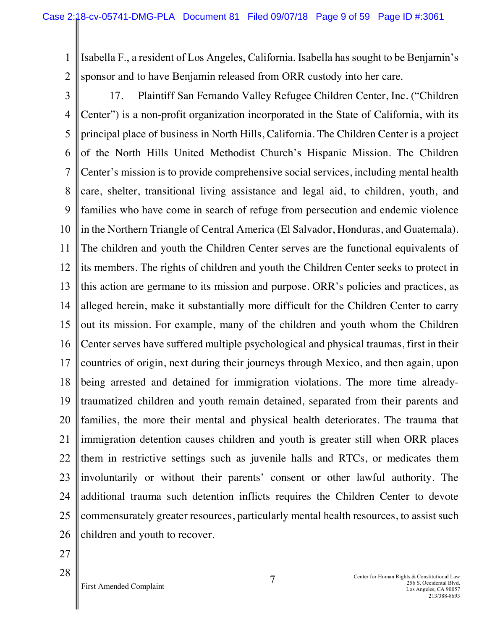1 2 Isabella F., a resident of Los Angeles, California. Isabella has sought to be Benjamin's sponsor and to have Benjamin released from ORR custody into her care.

3 4 5 6 7 8 9 10 11 12 13 14 15 16 17 18 19 20 21 22 23 24 25 26 17. Plaintiff San Fernando Valley Refugee Children Center, Inc. ("Children Center") is a non-profit organization incorporated in the State of California, with its principal place of business in North Hills, California. The Children Center is a project of the North Hills United Methodist Church's Hispanic Mission. The Children Center's mission is to provide comprehensive social services, including mental health care, shelter, transitional living assistance and legal aid, to children, youth, and families who have come in search of refuge from persecution and endemic violence in the Northern Triangle of Central America (El Salvador, Honduras, and Guatemala). The children and youth the Children Center serves are the functional equivalents of its members. The rights of children and youth the Children Center seeks to protect in this action are germane to its mission and purpose. ORR's policies and practices, as alleged herein, make it substantially more difficult for the Children Center to carry out its mission. For example, many of the children and youth whom the Children Center serves have suffered multiple psychological and physical traumas, first in their countries of origin, next during their journeys through Mexico, and then again, upon being arrested and detained for immigration violations. The more time alreadytraumatized children and youth remain detained, separated from their parents and families, the more their mental and physical health deteriorates. The trauma that immigration detention causes children and youth is greater still when ORR places them in restrictive settings such as juvenile halls and RTCs, or medicates them involuntarily or without their parents' consent or other lawful authority. The additional trauma such detention inflicts requires the Children Center to devote commensurately greater resources, particularly mental health resources, to assist such children and youth to recover.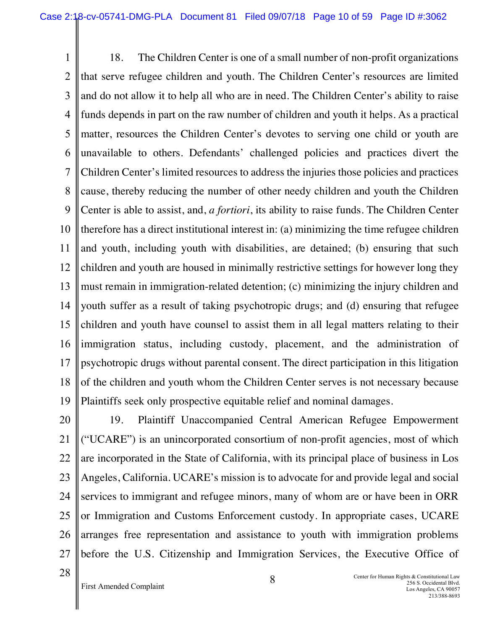1 2 3 4 5 6 7 8 9 10 11 12 13 14 15 16 17 18 19 18. The Children Center is one of a small number of non-profit organizations that serve refugee children and youth. The Children Center's resources are limited and do not allow it to help all who are in need. The Children Center's ability to raise funds depends in part on the raw number of children and youth it helps. As a practical matter, resources the Children Center's devotes to serving one child or youth are unavailable to others. Defendants' challenged policies and practices divert the Children Center's limited resources to address the injuries those policies and practices cause, thereby reducing the number of other needy children and youth the Children Center is able to assist, and, *a fortiori*, its ability to raise funds. The Children Center therefore has a direct institutional interest in: (a) minimizing the time refugee children and youth, including youth with disabilities, are detained; (b) ensuring that such children and youth are housed in minimally restrictive settings for however long they must remain in immigration-related detention; (c) minimizing the injury children and youth suffer as a result of taking psychotropic drugs; and (d) ensuring that refugee children and youth have counsel to assist them in all legal matters relating to their immigration status, including custody, placement, and the administration of psychotropic drugs without parental consent. The direct participation in this litigation of the children and youth whom the Children Center serves is not necessary because Plaintiffs seek only prospective equitable relief and nominal damages.

20 21 22 23 24 25 26 27 19. Plaintiff Unaccompanied Central American Refugee Empowerment ("UCARE") is an unincorporated consortium of non-profit agencies, most of which are incorporated in the State of California, with its principal place of business in Los Angeles, California. UCARE's mission is to advocate for and provide legal and social services to immigrant and refugee minors, many of whom are or have been in ORR or Immigration and Customs Enforcement custody. In appropriate cases, UCARE arranges free representation and assistance to youth with immigration problems before the U.S. Citizenship and Immigration Services, the Executive Office of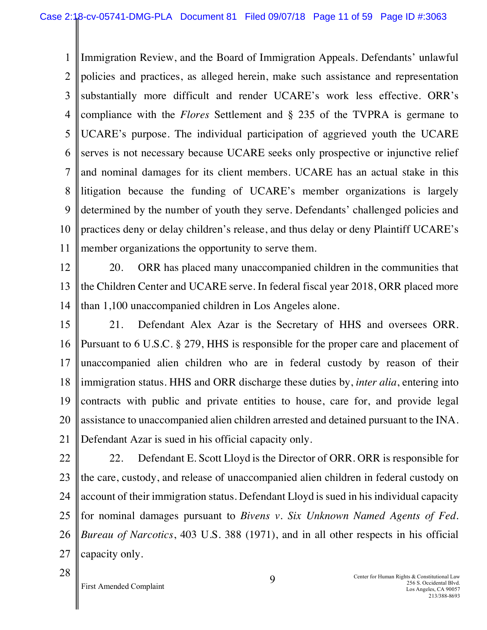1 2 3 4 5 6 7 8 9 10 11 Immigration Review, and the Board of Immigration Appeals. Defendants' unlawful policies and practices, as alleged herein, make such assistance and representation substantially more difficult and render UCARE's work less effective. ORR's compliance with the *Flores* Settlement and § 235 of the TVPRA is germane to UCARE's purpose. The individual participation of aggrieved youth the UCARE serves is not necessary because UCARE seeks only prospective or injunctive relief and nominal damages for its client members. UCARE has an actual stake in this litigation because the funding of UCARE's member organizations is largely determined by the number of youth they serve. Defendants' challenged policies and practices deny or delay children's release, and thus delay or deny Plaintiff UCARE's member organizations the opportunity to serve them.

12

13 14 20. ORR has placed many unaccompanied children in the communities that the Children Center and UCARE serve. In federal fiscal year 2018, ORR placed more than 1,100 unaccompanied children in Los Angeles alone.

15 16 17 18 19 20 21 21. Defendant Alex Azar is the Secretary of HHS and oversees ORR. Pursuant to 6 U.S.C. § 279, HHS is responsible for the proper care and placement of unaccompanied alien children who are in federal custody by reason of their immigration status. HHS and ORR discharge these duties by, *inter alia*, entering into contracts with public and private entities to house, care for, and provide legal assistance to unaccompanied alien children arrested and detained pursuant to the INA. Defendant Azar is sued in his official capacity only.

22 23 24 25 26 27 22. Defendant E. Scott Lloyd is the Director of ORR. ORR is responsible for the care, custody, and release of unaccompanied alien children in federal custody on account of their immigration status. Defendant Lloyd is sued in his individual capacity for nominal damages pursuant to *Bivens v. Six Unknown Named Agents of Fed. Bureau of Narcotics*, 403 U.S. 388 (1971), and in all other respects in his official capacity only.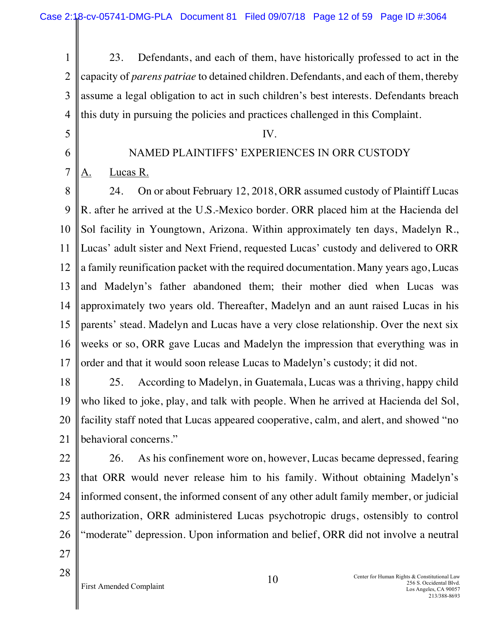- 1 2 3 4 23. Defendants, and each of them, have historically professed to act in the capacity of *parens patriae* to detained children. Defendants, and each of them, thereby assume a legal obligation to act in such children's best interests. Defendants breach this duty in pursuing the policies and practices challenged in this Complaint.
- 5
- 6

7

# NAMED PLAINTIFFS' EXPERIENCES IN ORR CUSTODY

IV.

A. Lucas R.

8 9 10 11 12 13 14 15 16 17 24. On or about February 12, 2018, ORR assumed custody of Plaintiff Lucas R. after he arrived at the U.S.-Mexico border. ORR placed him at the Hacienda del Sol facility in Youngtown, Arizona. Within approximately ten days, Madelyn R., Lucas' adult sister and Next Friend, requested Lucas' custody and delivered to ORR a family reunification packet with the required documentation. Many years ago, Lucas and Madelyn's father abandoned them; their mother died when Lucas was approximately two years old. Thereafter, Madelyn and an aunt raised Lucas in his parents' stead. Madelyn and Lucas have a very close relationship. Over the next six weeks or so, ORR gave Lucas and Madelyn the impression that everything was in order and that it would soon release Lucas to Madelyn's custody; it did not.

18 19 20 21 25. According to Madelyn, in Guatemala, Lucas was a thriving, happy child who liked to joke, play, and talk with people. When he arrived at Hacienda del Sol, facility staff noted that Lucas appeared cooperative, calm, and alert, and showed "no behavioral concerns."

- 22 23 24 25 26 27 26. As his confinement wore on, however, Lucas became depressed, fearing that ORR would never release him to his family. Without obtaining Madelyn's informed consent, the informed consent of any other adult family member, or judicial authorization, ORR administered Lucas psychotropic drugs, ostensibly to control "moderate" depression. Upon information and belief, ORR did not involve a neutral
- 28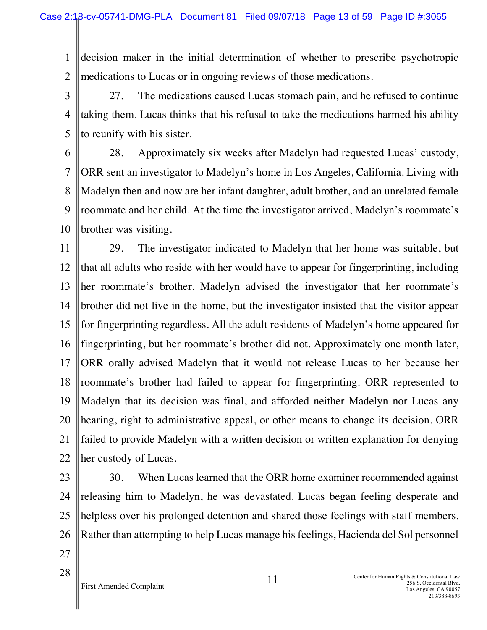1 2 decision maker in the initial determination of whether to prescribe psychotropic medications to Lucas or in ongoing reviews of those medications.

3 4 5 27. The medications caused Lucas stomach pain, and he refused to continue taking them. Lucas thinks that his refusal to take the medications harmed his ability to reunify with his sister.

6 7 8 9 10 28. Approximately six weeks after Madelyn had requested Lucas' custody, ORR sent an investigator to Madelyn's home in Los Angeles, California. Living with Madelyn then and now are her infant daughter, adult brother, and an unrelated female roommate and her child. At the time the investigator arrived, Madelyn's roommate's brother was visiting.

11 12 13 14 15 16 17 18 19 20 21 22 29. The investigator indicated to Madelyn that her home was suitable, but that all adults who reside with her would have to appear for fingerprinting, including her roommate's brother. Madelyn advised the investigator that her roommate's brother did not live in the home, but the investigator insisted that the visitor appear for fingerprinting regardless. All the adult residents of Madelyn's home appeared for fingerprinting, but her roommate's brother did not. Approximately one month later, ORR orally advised Madelyn that it would not release Lucas to her because her roommate's brother had failed to appear for fingerprinting. ORR represented to Madelyn that its decision was final, and afforded neither Madelyn nor Lucas any hearing, right to administrative appeal, or other means to change its decision. ORR failed to provide Madelyn with a written decision or written explanation for denying her custody of Lucas.

23

24 25 26 27 30. When Lucas learned that the ORR home examiner recommended against releasing him to Madelyn, he was devastated. Lucas began feeling desperate and helpless over his prolonged detention and shared those feelings with staff members. Rather than attempting to help Lucas manage his feelings, Hacienda del Sol personnel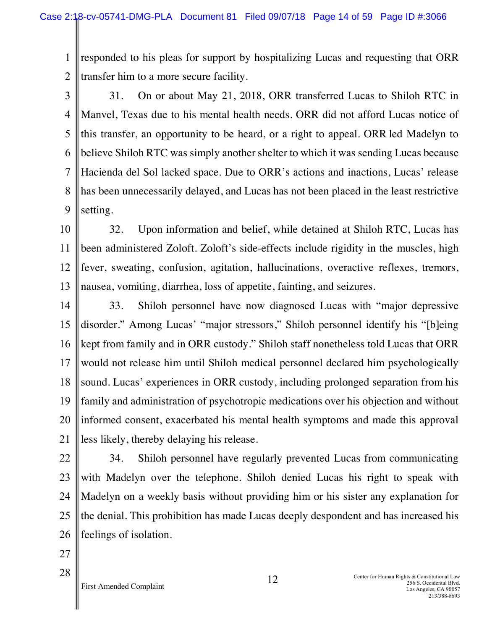1 2 responded to his pleas for support by hospitalizing Lucas and requesting that ORR transfer him to a more secure facility.

- 3 4 5 6 7 8 9 31. On or about May 21, 2018, ORR transferred Lucas to Shiloh RTC in Manvel, Texas due to his mental health needs. ORR did not afford Lucas notice of this transfer, an opportunity to be heard, or a right to appeal. ORR led Madelyn to believe Shiloh RTC was simply another shelter to which it was sending Lucas because Hacienda del Sol lacked space. Due to ORR's actions and inactions, Lucas' release has been unnecessarily delayed, and Lucas has not been placed in the least restrictive setting.
- 10 11 12 13 32. Upon information and belief, while detained at Shiloh RTC, Lucas has been administered Zoloft. Zoloft's side-effects include rigidity in the muscles, high fever, sweating, confusion, agitation, hallucinations, overactive reflexes, tremors, nausea, vomiting, diarrhea, loss of appetite, fainting, and seizures.
- 14 15 16 17 18 19 20 21 33. Shiloh personnel have now diagnosed Lucas with "major depressive disorder." Among Lucas' "major stressors," Shiloh personnel identify his "[b]eing kept from family and in ORR custody." Shiloh staff nonetheless told Lucas that ORR would not release him until Shiloh medical personnel declared him psychologically sound. Lucas' experiences in ORR custody, including prolonged separation from his family and administration of psychotropic medications over his objection and without informed consent, exacerbated his mental health symptoms and made this approval less likely, thereby delaying his release.
- 22 23 24 25 26 34. Shiloh personnel have regularly prevented Lucas from communicating with Madelyn over the telephone. Shiloh denied Lucas his right to speak with Madelyn on a weekly basis without providing him or his sister any explanation for the denial. This prohibition has made Lucas deeply despondent and has increased his feelings of isolation.
- 27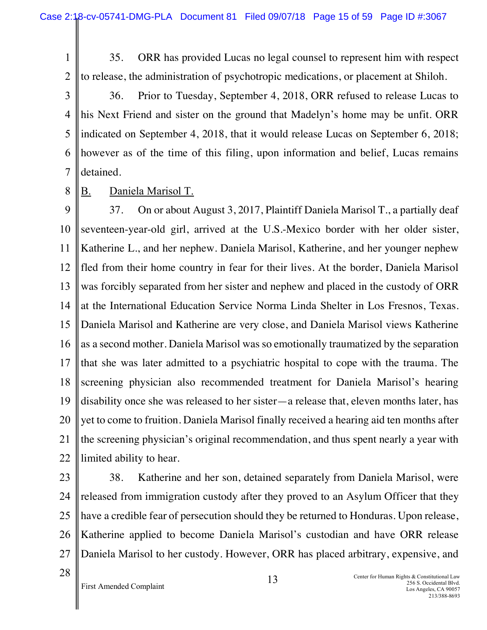2 35. ORR has provided Lucas no legal counsel to represent him with respect to release, the administration of psychotropic medications, or placement at Shiloh.

3 4 5 6 7 36. Prior to Tuesday, September 4, 2018, ORR refused to release Lucas to his Next Friend and sister on the ground that Madelyn's home may be unfit. ORR indicated on September 4, 2018, that it would release Lucas on September 6, 2018; however as of the time of this filing, upon information and belief, Lucas remains detained.

8 B. Daniela Marisol T.

9 10 11 12 13 14 15 16 17 18 19 20 21 22 37. On or about August 3, 2017, Plaintiff Daniela Marisol T., a partially deaf seventeen-year-old girl, arrived at the U.S.-Mexico border with her older sister, Katherine L., and her nephew. Daniela Marisol, Katherine, and her younger nephew fled from their home country in fear for their lives. At the border, Daniela Marisol was forcibly separated from her sister and nephew and placed in the custody of ORR at the International Education Service Norma Linda Shelter in Los Fresnos, Texas. Daniela Marisol and Katherine are very close, and Daniela Marisol views Katherine as a second mother. Daniela Marisol was so emotionally traumatized by the separation that she was later admitted to a psychiatric hospital to cope with the trauma. The screening physician also recommended treatment for Daniela Marisol's hearing disability once she was released to her sister—a release that, eleven months later, has yet to come to fruition. Daniela Marisol finally received a hearing aid ten months after the screening physician's original recommendation, and thus spent nearly a year with limited ability to hear.

23

1

24 25 26 27 38. Katherine and her son, detained separately from Daniela Marisol, were released from immigration custody after they proved to an Asylum Officer that they have a credible fear of persecution should they be returned to Honduras. Upon release, Katherine applied to become Daniela Marisol's custodian and have ORR release Daniela Marisol to her custody. However, ORR has placed arbitrary, expensive, and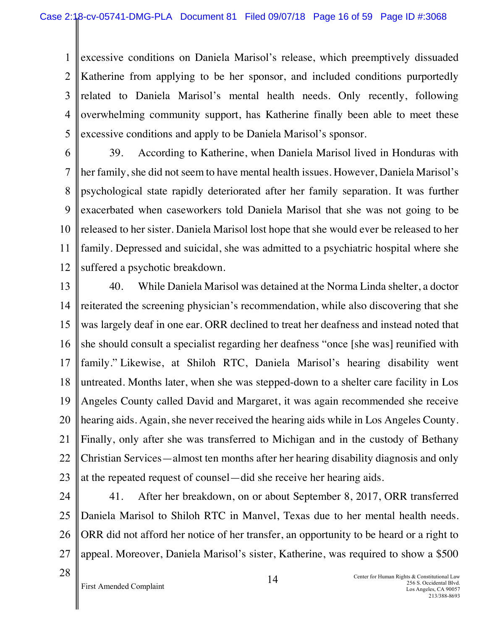1 2 3 4 5 excessive conditions on Daniela Marisol's release, which preemptively dissuaded Katherine from applying to be her sponsor, and included conditions purportedly related to Daniela Marisol's mental health needs. Only recently, following overwhelming community support, has Katherine finally been able to meet these excessive conditions and apply to be Daniela Marisol's sponsor.

6 7 8 9 10 11 12 39. According to Katherine, when Daniela Marisol lived in Honduras with her family, she did not seem to have mental health issues. However, Daniela Marisol's psychological state rapidly deteriorated after her family separation. It was further exacerbated when caseworkers told Daniela Marisol that she was not going to be released to her sister. Daniela Marisol lost hope that she would ever be released to her family. Depressed and suicidal, she was admitted to a psychiatric hospital where she suffered a psychotic breakdown.

13 14 15 16 17 18 19 20 21 22 23 40. While Daniela Marisol was detained at the Norma Linda shelter, a doctor reiterated the screening physician's recommendation, while also discovering that she was largely deaf in one ear. ORR declined to treat her deafness and instead noted that she should consult a specialist regarding her deafness "once [she was] reunified with family." Likewise, at Shiloh RTC, Daniela Marisol's hearing disability went untreated. Months later, when she was stepped-down to a shelter care facility in Los Angeles County called David and Margaret, it was again recommended she receive hearing aids. Again, she never received the hearing aids while in Los Angeles County. Finally, only after she was transferred to Michigan and in the custody of Bethany Christian Services—almost ten months after her hearing disability diagnosis and only at the repeated request of counsel—did she receive her hearing aids.

- 24 25 26 27 41. After her breakdown, on or about September 8, 2017, ORR transferred Daniela Marisol to Shiloh RTC in Manvel, Texas due to her mental health needs. ORR did not afford her notice of her transfer, an opportunity to be heard or a right to appeal. Moreover, Daniela Marisol's sister, Katherine, was required to show a \$500
- 28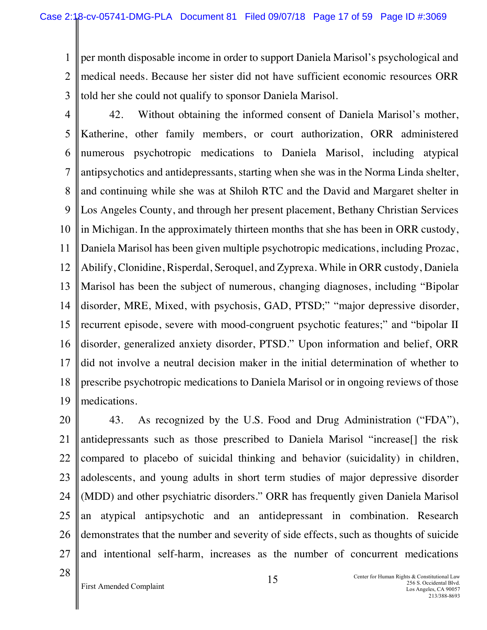1 2 3 per month disposable income in order to support Daniela Marisol's psychological and medical needs. Because her sister did not have sufficient economic resources ORR told her she could not qualify to sponsor Daniela Marisol.

4 5 6 7 8 9 10 11 12 13 14 15 16 17 18 19 42. Without obtaining the informed consent of Daniela Marisol's mother, Katherine, other family members, or court authorization, ORR administered numerous psychotropic medications to Daniela Marisol, including atypical antipsychotics and antidepressants, starting when she was in the Norma Linda shelter, and continuing while she was at Shiloh RTC and the David and Margaret shelter in Los Angeles County, and through her present placement, Bethany Christian Services in Michigan. In the approximately thirteen months that she has been in ORR custody, Daniela Marisol has been given multiple psychotropic medications, including Prozac, Abilify, Clonidine, Risperdal, Seroquel, and Zyprexa. While in ORR custody, Daniela Marisol has been the subject of numerous, changing diagnoses, including "Bipolar disorder, MRE, Mixed, with psychosis, GAD, PTSD;" "major depressive disorder, recurrent episode, severe with mood-congruent psychotic features;" and "bipolar II disorder, generalized anxiety disorder, PTSD." Upon information and belief, ORR did not involve a neutral decision maker in the initial determination of whether to prescribe psychotropic medications to Daniela Marisol or in ongoing reviews of those medications.

20 21 22 23 24 25 26 27 43. As recognized by the U.S. Food and Drug Administration ("FDA"), antidepressants such as those prescribed to Daniela Marisol "increase[] the risk compared to placebo of suicidal thinking and behavior (suicidality) in children, adolescents, and young adults in short term studies of major depressive disorder (MDD) and other psychiatric disorders." ORR has frequently given Daniela Marisol an atypical antipsychotic and an antidepressant in combination. Research demonstrates that the number and severity of side effects, such as thoughts of suicide and intentional self-harm, increases as the number of concurrent medications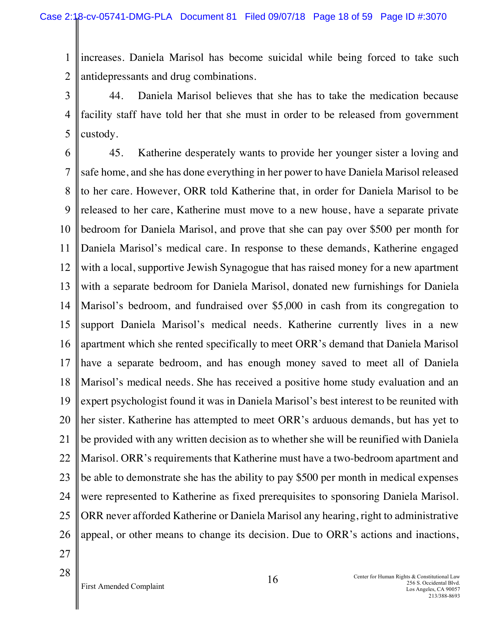1 2 increases. Daniela Marisol has become suicidal while being forced to take such antidepressants and drug combinations.

3 4 5 44. Daniela Marisol believes that she has to take the medication because facility staff have told her that she must in order to be released from government custody.

6 7 8 9 10 11 12 13 14 15 16 17 18 19 20 21 22 23 24 25 26 27 45. Katherine desperately wants to provide her younger sister a loving and safe home, and she has done everything in her power to have Daniela Marisol released to her care. However, ORR told Katherine that, in order for Daniela Marisol to be released to her care, Katherine must move to a new house, have a separate private bedroom for Daniela Marisol, and prove that she can pay over \$500 per month for Daniela Marisol's medical care. In response to these demands, Katherine engaged with a local, supportive Jewish Synagogue that has raised money for a new apartment with a separate bedroom for Daniela Marisol, donated new furnishings for Daniela Marisol's bedroom, and fundraised over \$5,000 in cash from its congregation to support Daniela Marisol's medical needs. Katherine currently lives in a new apartment which she rented specifically to meet ORR's demand that Daniela Marisol have a separate bedroom, and has enough money saved to meet all of Daniela Marisol's medical needs. She has received a positive home study evaluation and an expert psychologist found it was in Daniela Marisol's best interest to be reunited with her sister. Katherine has attempted to meet ORR's arduous demands, but has yet to be provided with any written decision as to whether she will be reunified with Daniela Marisol. ORR's requirements that Katherine must have a two-bedroom apartment and be able to demonstrate she has the ability to pay \$500 per month in medical expenses were represented to Katherine as fixed prerequisites to sponsoring Daniela Marisol. ORR never afforded Katherine or Daniela Marisol any hearing, right to administrative appeal, or other means to change its decision. Due to ORR's actions and inactions,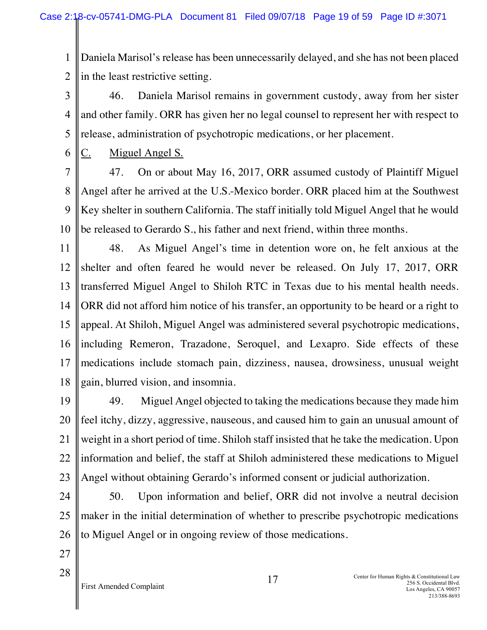1 2 Daniela Marisol's release has been unnecessarily delayed, and she has not been placed in the least restrictive setting.

3 4 5 46. Daniela Marisol remains in government custody, away from her sister and other family. ORR has given her no legal counsel to represent her with respect to release, administration of psychotropic medications, or her placement.

6 C. Miguel Angel S.

7 8 9 10 47. On or about May 16, 2017, ORR assumed custody of Plaintiff Miguel Angel after he arrived at the U.S.-Mexico border. ORR placed him at the Southwest Key shelter in southern California. The staff initially told Miguel Angel that he would be released to Gerardo S., his father and next friend, within three months.

11 12 13 14 15 16 17 18 48. As Miguel Angel's time in detention wore on, he felt anxious at the shelter and often feared he would never be released. On July 17, 2017, ORR transferred Miguel Angel to Shiloh RTC in Texas due to his mental health needs. ORR did not afford him notice of his transfer, an opportunity to be heard or a right to appeal. At Shiloh, Miguel Angel was administered several psychotropic medications, including Remeron, Trazadone, Seroquel, and Lexapro. Side effects of these medications include stomach pain, dizziness, nausea, drowsiness, unusual weight gain, blurred vision, and insomnia.

19 20 21 22 23 49. Miguel Angel objected to taking the medications because they made him feel itchy, dizzy, aggressive, nauseous, and caused him to gain an unusual amount of weight in a short period of time. Shiloh staff insisted that he take the medication. Upon information and belief, the staff at Shiloh administered these medications to Miguel Angel without obtaining Gerardo's informed consent or judicial authorization.

24 25 26 50. Upon information and belief, ORR did not involve a neutral decision maker in the initial determination of whether to prescribe psychotropic medications to Miguel Angel or in ongoing review of those medications.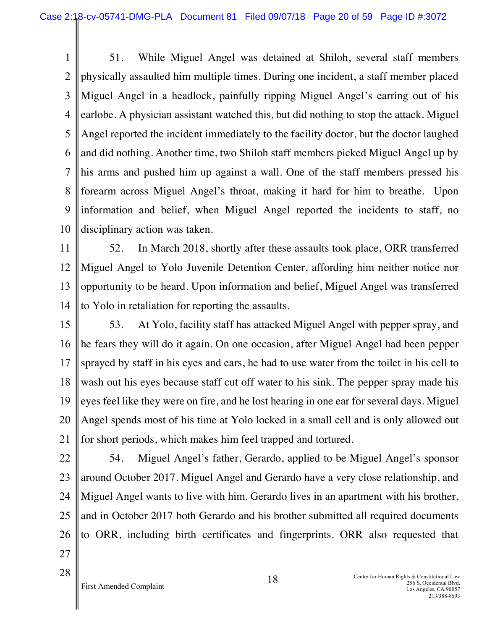1 2 3 4 5 6 7 8 9 10 51. While Miguel Angel was detained at Shiloh, several staff members physically assaulted him multiple times. During one incident, a staff member placed Miguel Angel in a headlock, painfully ripping Miguel Angel's earring out of his earlobe. A physician assistant watched this, but did nothing to stop the attack. Miguel Angel reported the incident immediately to the facility doctor, but the doctor laughed and did nothing. Another time, two Shiloh staff members picked Miguel Angel up by his arms and pushed him up against a wall. One of the staff members pressed his forearm across Miguel Angel's throat, making it hard for him to breathe. Upon information and belief, when Miguel Angel reported the incidents to staff, no disciplinary action was taken.

11 12 13 14 52. In March 2018, shortly after these assaults took place, ORR transferred Miguel Angel to Yolo Juvenile Detention Center, affording him neither notice nor opportunity to be heard. Upon information and belief, Miguel Angel was transferred to Yolo in retaliation for reporting the assaults.

15 16 17 18 19 20 21 53. At Yolo, facility staff has attacked Miguel Angel with pepper spray, and he fears they will do it again. On one occasion, after Miguel Angel had been pepper sprayed by staff in his eyes and ears, he had to use water from the toilet in his cell to wash out his eyes because staff cut off water to his sink. The pepper spray made his eyes feel like they were on fire, and he lost hearing in one ear for several days. Miguel Angel spends most of his time at Yolo locked in a small cell and is only allowed out for short periods, which makes him feel trapped and tortured.

22 23 24 25 26 27 54. Miguel Angel's father, Gerardo, applied to be Miguel Angel's sponsor around October 2017. Miguel Angel and Gerardo have a very close relationship, and Miguel Angel wants to live with him. Gerardo lives in an apartment with his brother, and in October 2017 both Gerardo and his brother submitted all required documents to ORR, including birth certificates and fingerprints. ORR also requested that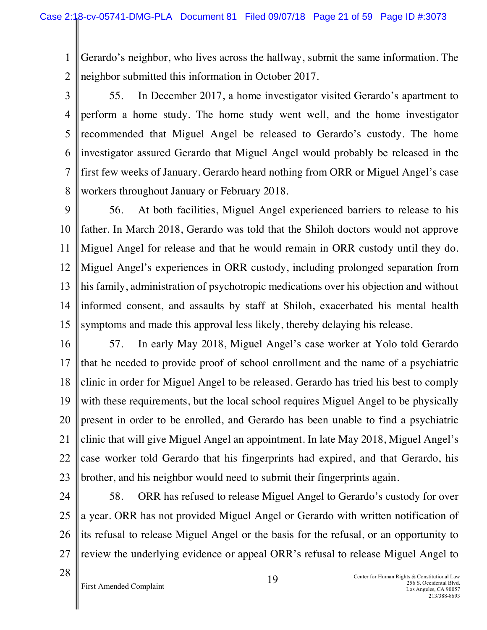1 2 Gerardo's neighbor, who lives across the hallway, submit the same information. The neighbor submitted this information in October 2017.

3

4 5 6 7 8 55. In December 2017, a home investigator visited Gerardo's apartment to perform a home study. The home study went well, and the home investigator recommended that Miguel Angel be released to Gerardo's custody. The home investigator assured Gerardo that Miguel Angel would probably be released in the first few weeks of January. Gerardo heard nothing from ORR or Miguel Angel's case workers throughout January or February 2018.

9 10 11 12 13 14 15 56. At both facilities, Miguel Angel experienced barriers to release to his father. In March 2018, Gerardo was told that the Shiloh doctors would not approve Miguel Angel for release and that he would remain in ORR custody until they do. Miguel Angel's experiences in ORR custody, including prolonged separation from his family, administration of psychotropic medications over his objection and without informed consent, and assaults by staff at Shiloh, exacerbated his mental health symptoms and made this approval less likely, thereby delaying his release.

16 17 18 19 20 21 22 23 57. In early May 2018, Miguel Angel's case worker at Yolo told Gerardo that he needed to provide proof of school enrollment and the name of a psychiatric clinic in order for Miguel Angel to be released. Gerardo has tried his best to comply with these requirements, but the local school requires Miguel Angel to be physically present in order to be enrolled, and Gerardo has been unable to find a psychiatric clinic that will give Miguel Angel an appointment. In late May 2018, Miguel Angel's case worker told Gerardo that his fingerprints had expired, and that Gerardo, his brother, and his neighbor would need to submit their fingerprints again.

24

25 26 27 58. ORR has refused to release Miguel Angel to Gerardo's custody for over a year. ORR has not provided Miguel Angel or Gerardo with written notification of its refusal to release Miguel Angel or the basis for the refusal, or an opportunity to review the underlying evidence or appeal ORR's refusal to release Miguel Angel to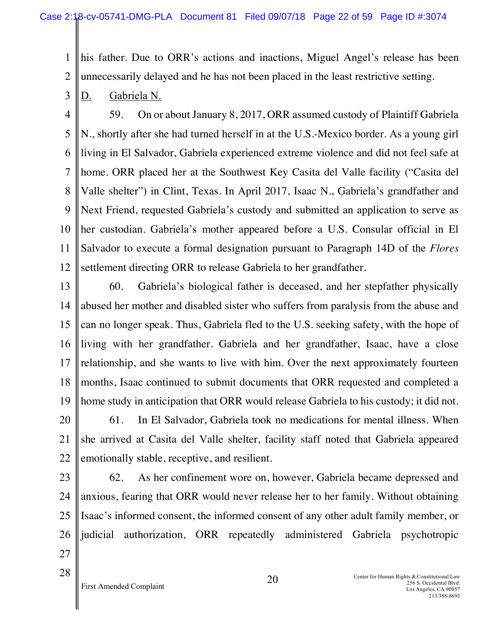1 2 his father. Due to ORR's actions and inactions, Miguel Angel's release has been unnecessarily delayed and he has not been placed in the least restrictive setting.

3 D. Gabriela N.

4 5 6 7 8 9 10 11 12 59. On or about January 8, 2017, ORR assumed custody of Plaintiff Gabriela N., shortly after she had turned herself in at the U.S.-Mexico border. As a young girl living in El Salvador, Gabriela experienced extreme violence and did not feel safe at home. ORR placed her at the Southwest Key Casita del Valle facility ("Casita del Valle shelter") in Clint, Texas. In April 2017, Isaac N., Gabriela's grandfather and Next Friend, requested Gabriela's custody and submitted an application to serve as her custodian. Gabriela's mother appeared before a U.S. Consular official in El Salvador to execute a formal designation pursuant to Paragraph 14D of the *Flores* settlement directing ORR to release Gabriela to her grandfather.

- 13 14 15 16 17 18 19 20 21 22 60. Gabriela's biological father is deceased, and her stepfather physically abused her mother and disabled sister who suffers from paralysis from the abuse and can no longer speak. Thus, Gabriela fled to the U.S. seeking safety, with the hope of living with her grandfather. Gabriela and her grandfather, Isaac, have a close relationship, and she wants to live with him. Over the next approximately fourteen months, Isaac continued to submit documents that ORR requested and completed a home study in anticipation that ORR would release Gabriela to his custody; it did not. 61. In El Salvador, Gabriela took no medications for mental illness. When she arrived at Casita del Valle shelter, facility staff noted that Gabriela appeared emotionally stable, receptive, and resilient.
- 23

24 25 26 27 62. As her confinement wore on, however, Gabriela became depressed and anxious, fearing that ORR would never release her to her family. Without obtaining Isaac's informed consent, the informed consent of any other adult family member, or judicial authorization, ORR repeatedly administered Gabriela psychotropic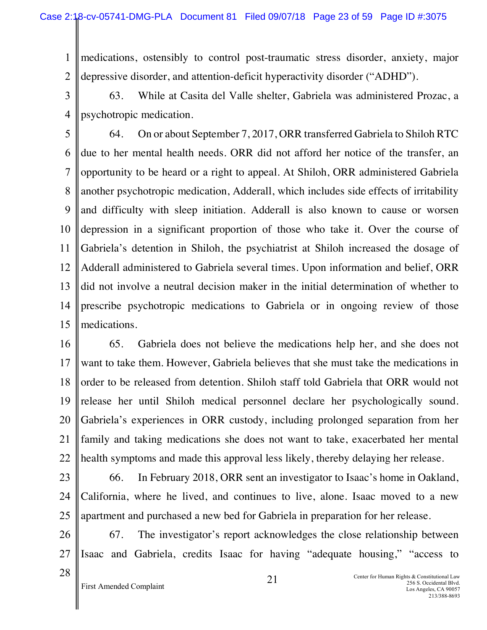1 2 medications, ostensibly to control post-traumatic stress disorder, anxiety, major depressive disorder, and attention-deficit hyperactivity disorder ("ADHD").

3 4 63. While at Casita del Valle shelter, Gabriela was administered Prozac, a psychotropic medication.

5 6 7 8 9 10 11 12 13 14 15 64. On or about September 7, 2017, ORR transferred Gabriela to Shiloh RTC due to her mental health needs. ORR did not afford her notice of the transfer, an opportunity to be heard or a right to appeal. At Shiloh, ORR administered Gabriela another psychotropic medication, Adderall, which includes side effects of irritability and difficulty with sleep initiation. Adderall is also known to cause or worsen depression in a significant proportion of those who take it. Over the course of Gabriela's detention in Shiloh, the psychiatrist at Shiloh increased the dosage of Adderall administered to Gabriela several times. Upon information and belief, ORR did not involve a neutral decision maker in the initial determination of whether to prescribe psychotropic medications to Gabriela or in ongoing review of those medications.

- 16 17 18 19 20 21 22 65. Gabriela does not believe the medications help her, and she does not want to take them. However, Gabriela believes that she must take the medications in order to be released from detention. Shiloh staff told Gabriela that ORR would not release her until Shiloh medical personnel declare her psychologically sound. Gabriela's experiences in ORR custody, including prolonged separation from her family and taking medications she does not want to take, exacerbated her mental health symptoms and made this approval less likely, thereby delaying her release.
- 23

24 25 66. In February 2018, ORR sent an investigator to Isaac's home in Oakland, California, where he lived, and continues to live, alone. Isaac moved to a new apartment and purchased a new bed for Gabriela in preparation for her release.

26 27 67. The investigator's report acknowledges the close relationship between Isaac and Gabriela, credits Isaac for having "adequate housing," "access to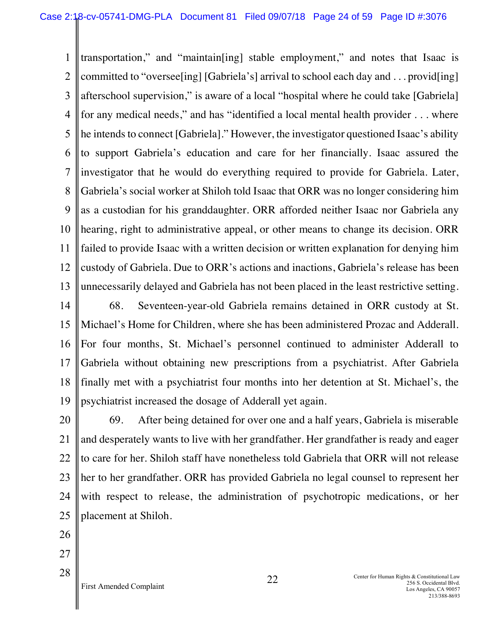1 2 3 4 5 6 7 8 9 10 11 12 13 transportation," and "maintain[ing] stable employment," and notes that Isaac is committed to "oversee[ing] [Gabriela's] arrival to school each day and . . . provid[ing] afterschool supervision," is aware of a local "hospital where he could take [Gabriela] for any medical needs," and has "identified a local mental health provider . . . where he intends to connect [Gabriela]." However, the investigator questioned Isaac's ability to support Gabriela's education and care for her financially. Isaac assured the investigator that he would do everything required to provide for Gabriela. Later, Gabriela's social worker at Shiloh told Isaac that ORR was no longer considering him as a custodian for his granddaughter. ORR afforded neither Isaac nor Gabriela any hearing, right to administrative appeal, or other means to change its decision. ORR failed to provide Isaac with a written decision or written explanation for denying him custody of Gabriela. Due to ORR's actions and inactions, Gabriela's release has been unnecessarily delayed and Gabriela has not been placed in the least restrictive setting.

14 15 16 17 18 19 68. Seventeen-year-old Gabriela remains detained in ORR custody at St. Michael's Home for Children, where she has been administered Prozac and Adderall. For four months, St. Michael's personnel continued to administer Adderall to Gabriela without obtaining new prescriptions from a psychiatrist. After Gabriela finally met with a psychiatrist four months into her detention at St. Michael's, the psychiatrist increased the dosage of Adderall yet again.

20 21 22 23 24 25 69. After being detained for over one and a half years, Gabriela is miserable and desperately wants to live with her grandfather. Her grandfather is ready and eager to care for her. Shiloh staff have nonetheless told Gabriela that ORR will not release her to her grandfather. ORR has provided Gabriela no legal counsel to represent her with respect to release, the administration of psychotropic medications, or her placement at Shiloh.

26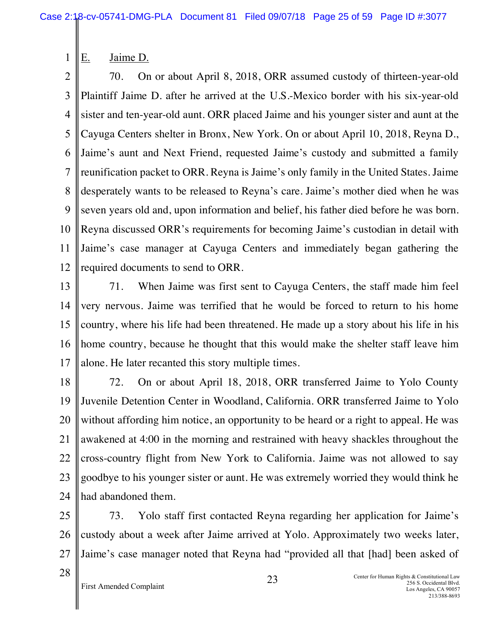E. Jaime D.

1

2 3 4 5 6 7 8 9 10 11 12 70. On or about April 8, 2018, ORR assumed custody of thirteen-year-old Plaintiff Jaime D. after he arrived at the U.S.-Mexico border with his six-year-old sister and ten-year-old aunt. ORR placed Jaime and his younger sister and aunt at the Cayuga Centers shelter in Bronx, New York. On or about April 10, 2018, Reyna D., Jaime's aunt and Next Friend, requested Jaime's custody and submitted a family reunification packet to ORR. Reyna is Jaime's only family in the United States. Jaime desperately wants to be released to Reyna's care. Jaime's mother died when he was seven years old and, upon information and belief, his father died before he was born. Reyna discussed ORR's requirements for becoming Jaime's custodian in detail with Jaime's case manager at Cayuga Centers and immediately began gathering the required documents to send to ORR.

13 14 15 16 17 71. When Jaime was first sent to Cayuga Centers, the staff made him feel very nervous. Jaime was terrified that he would be forced to return to his home country, where his life had been threatened. He made up a story about his life in his home country, because he thought that this would make the shelter staff leave him alone. He later recanted this story multiple times.

18 19 20 21 22 23 24 72. On or about April 18, 2018, ORR transferred Jaime to Yolo County Juvenile Detention Center in Woodland, California. ORR transferred Jaime to Yolo without affording him notice, an opportunity to be heard or a right to appeal. He was awakened at 4:00 in the morning and restrained with heavy shackles throughout the cross-country flight from New York to California. Jaime was not allowed to say goodbye to his younger sister or aunt. He was extremely worried they would think he had abandoned them.

25 26 27 73. Yolo staff first contacted Reyna regarding her application for Jaime's custody about a week after Jaime arrived at Yolo. Approximately two weeks later, Jaime's case manager noted that Reyna had "provided all that [had] been asked of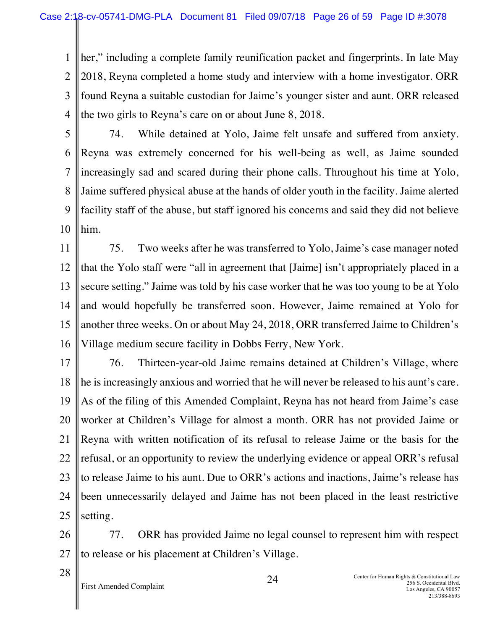1 2 3 4 her," including a complete family reunification packet and fingerprints. In late May 2018, Reyna completed a home study and interview with a home investigator. ORR found Reyna a suitable custodian for Jaime's younger sister and aunt. ORR released the two girls to Reyna's care on or about June 8, 2018.

5

6 7 8 9 10 74. While detained at Yolo, Jaime felt unsafe and suffered from anxiety. Reyna was extremely concerned for his well-being as well, as Jaime sounded increasingly sad and scared during their phone calls. Throughout his time at Yolo, Jaime suffered physical abuse at the hands of older youth in the facility. Jaime alerted facility staff of the abuse, but staff ignored his concerns and said they did not believe him.

11 12 13 14 15 16 75. Two weeks after he was transferred to Yolo, Jaime's case manager noted that the Yolo staff were "all in agreement that [Jaime] isn't appropriately placed in a secure setting." Jaime was told by his case worker that he was too young to be at Yolo and would hopefully be transferred soon. However, Jaime remained at Yolo for another three weeks. On or about May 24, 2018, ORR transferred Jaime to Children's Village medium secure facility in Dobbs Ferry, New York.

17 18 19 20 21 22 23 24 25 76. Thirteen-year-old Jaime remains detained at Children's Village, where he is increasingly anxious and worried that he will never be released to his aunt's care. As of the filing of this Amended Complaint, Reyna has not heard from Jaime's case worker at Children's Village for almost a month. ORR has not provided Jaime or Reyna with written notification of its refusal to release Jaime or the basis for the refusal, or an opportunity to review the underlying evidence or appeal ORR's refusal to release Jaime to his aunt. Due to ORR's actions and inactions, Jaime's release has been unnecessarily delayed and Jaime has not been placed in the least restrictive setting.

26 27 77. ORR has provided Jaime no legal counsel to represent him with respect to release or his placement at Children's Village.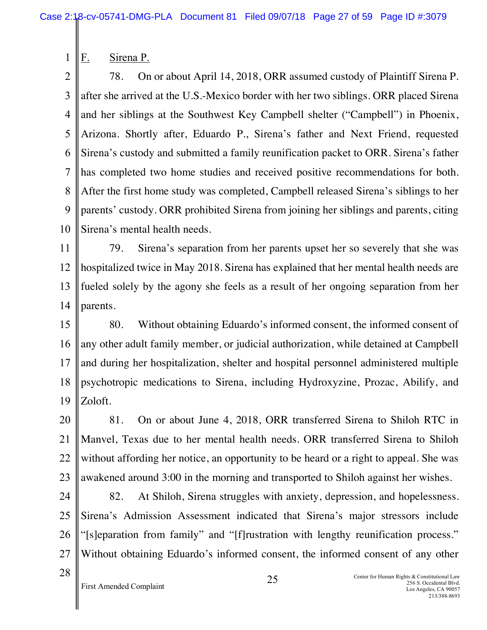F. Sirena P.

1

2 3 4 5 6 7 8 9 10 78. On or about April 14, 2018, ORR assumed custody of Plaintiff Sirena P. after she arrived at the U.S.-Mexico border with her two siblings. ORR placed Sirena and her siblings at the Southwest Key Campbell shelter ("Campbell") in Phoenix, Arizona. Shortly after, Eduardo P., Sirena's father and Next Friend, requested Sirena's custody and submitted a family reunification packet to ORR. Sirena's father has completed two home studies and received positive recommendations for both. After the first home study was completed, Campbell released Sirena's siblings to her parents' custody. ORR prohibited Sirena from joining her siblings and parents, citing Sirena's mental health needs.

11 12 13 14 79. Sirena's separation from her parents upset her so severely that she was hospitalized twice in May 2018. Sirena has explained that her mental health needs are fueled solely by the agony she feels as a result of her ongoing separation from her parents.

15 16 17 18 19 80. Without obtaining Eduardo's informed consent, the informed consent of any other adult family member, or judicial authorization, while detained at Campbell and during her hospitalization, shelter and hospital personnel administered multiple psychotropic medications to Sirena, including Hydroxyzine, Prozac, Abilify, and Zoloft.

20 21 22 23 81. On or about June 4, 2018, ORR transferred Sirena to Shiloh RTC in Manvel, Texas due to her mental health needs. ORR transferred Sirena to Shiloh without affording her notice, an opportunity to be heard or a right to appeal. She was awakened around 3:00 in the morning and transported to Shiloh against her wishes.

- 24 25 26 27 82. At Shiloh, Sirena struggles with anxiety, depression, and hopelessness. Sirena's Admission Assessment indicated that Sirena's major stressors include "[s]eparation from family" and "[f]rustration with lengthy reunification process." Without obtaining Eduardo's informed consent, the informed consent of any other
- 28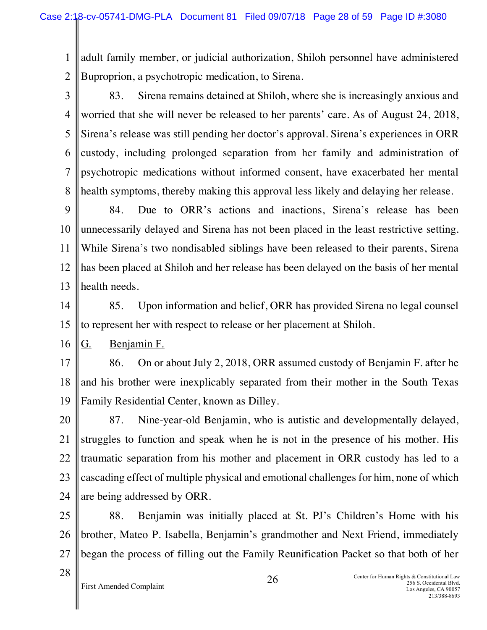1 2 adult family member, or judicial authorization, Shiloh personnel have administered Buproprion, a psychotropic medication, to Sirena.

3 4 5 6 7 8 83. Sirena remains detained at Shiloh, where she is increasingly anxious and worried that she will never be released to her parents' care. As of August 24, 2018, Sirena's release was still pending her doctor's approval. Sirena's experiences in ORR custody, including prolonged separation from her family and administration of psychotropic medications without informed consent, have exacerbated her mental health symptoms, thereby making this approval less likely and delaying her release.

9 10 11 12 13 84. Due to ORR's actions and inactions, Sirena's release has been unnecessarily delayed and Sirena has not been placed in the least restrictive setting. While Sirena's two nondisabled siblings have been released to their parents, Sirena has been placed at Shiloh and her release has been delayed on the basis of her mental health needs.

14 15 85. Upon information and belief, ORR has provided Sirena no legal counsel to represent her with respect to release or her placement at Shiloh.

16 G. Benjamin F.

17 18 19 86. On or about July 2, 2018, ORR assumed custody of Benjamin F. after he and his brother were inexplicably separated from their mother in the South Texas Family Residential Center, known as Dilley.

20 21 22 23 24 87. Nine-year-old Benjamin, who is autistic and developmentally delayed, struggles to function and speak when he is not in the presence of his mother. His traumatic separation from his mother and placement in ORR custody has led to a cascading effect of multiple physical and emotional challenges for him, none of which are being addressed by ORR.

25 26 27 88. Benjamin was initially placed at St. PJ's Children's Home with his brother, Mateo P. Isabella, Benjamin's grandmother and Next Friend, immediately began the process of filling out the Family Reunification Packet so that both of her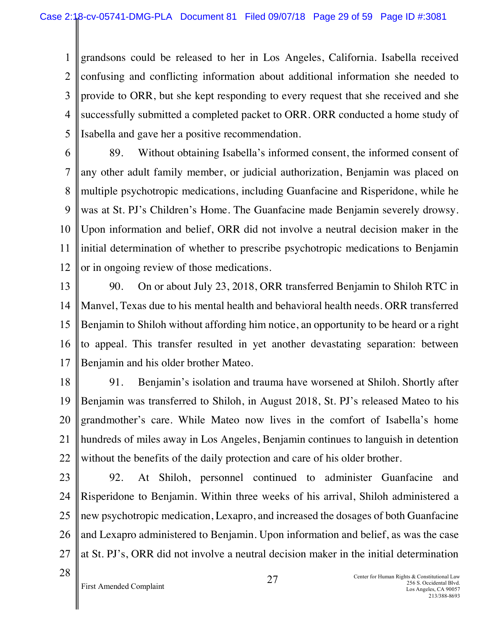1 2 3 4 5 grandsons could be released to her in Los Angeles, California. Isabella received confusing and conflicting information about additional information she needed to provide to ORR, but she kept responding to every request that she received and she successfully submitted a completed packet to ORR. ORR conducted a home study of Isabella and gave her a positive recommendation.

6 7 8 9 10 11 12 89. Without obtaining Isabella's informed consent, the informed consent of any other adult family member, or judicial authorization, Benjamin was placed on multiple psychotropic medications, including Guanfacine and Risperidone, while he was at St. PJ's Children's Home. The Guanfacine made Benjamin severely drowsy. Upon information and belief, ORR did not involve a neutral decision maker in the initial determination of whether to prescribe psychotropic medications to Benjamin or in ongoing review of those medications.

13 14 15 16 17 90. On or about July 23, 2018, ORR transferred Benjamin to Shiloh RTC in Manvel, Texas due to his mental health and behavioral health needs. ORR transferred Benjamin to Shiloh without affording him notice, an opportunity to be heard or a right to appeal. This transfer resulted in yet another devastating separation: between Benjamin and his older brother Mateo.

18 19 20 21 22 91. Benjamin's isolation and trauma have worsened at Shiloh. Shortly after Benjamin was transferred to Shiloh, in August 2018, St. PJ's released Mateo to his grandmother's care. While Mateo now lives in the comfort of Isabella's home hundreds of miles away in Los Angeles, Benjamin continues to languish in detention without the benefits of the daily protection and care of his older brother.

23

24 25 26 27 92. At Shiloh, personnel continued to administer Guanfacine and Risperidone to Benjamin. Within three weeks of his arrival, Shiloh administered a new psychotropic medication, Lexapro, and increased the dosages of both Guanfacine and Lexapro administered to Benjamin. Upon information and belief, as was the case at St. PJ's, ORR did not involve a neutral decision maker in the initial determination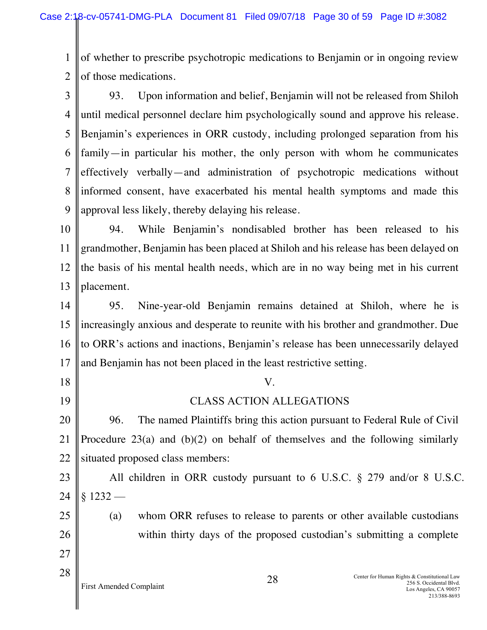1 2 of whether to prescribe psychotropic medications to Benjamin or in ongoing review of those medications.

3 4 5 6 7 8 9 93. Upon information and belief, Benjamin will not be released from Shiloh until medical personnel declare him psychologically sound and approve his release. Benjamin's experiences in ORR custody, including prolonged separation from his family—in particular his mother, the only person with whom he communicates effectively verbally—and administration of psychotropic medications without informed consent, have exacerbated his mental health symptoms and made this approval less likely, thereby delaying his release.

10 11 12 13 94. While Benjamin's nondisabled brother has been released to his grandmother, Benjamin has been placed at Shiloh and his release has been delayed on the basis of his mental health needs, which are in no way being met in his current placement.

14 15 16 17 95. Nine-year-old Benjamin remains detained at Shiloh, where he is increasingly anxious and desperate to reunite with his brother and grandmother. Due to ORR's actions and inactions, Benjamin's release has been unnecessarily delayed and Benjamin has not been placed in the least restrictive setting.

18 19 20 21 22 23 V. CLASS ACTION ALLEGATIONS 96. The named Plaintiffs bring this action pursuant to Federal Rule of Civil Procedure 23(a) and (b)(2) on behalf of themselves and the following similarly situated proposed class members: All children in ORR custody pursuant to 6 U.S.C. § 279 and/or 8 U.S.C.

24  $$1232 -$ 

25 26

27

(a) whom ORR refuses to release to parents or other available custodians within thirty days of the proposed custodian's submitting a complete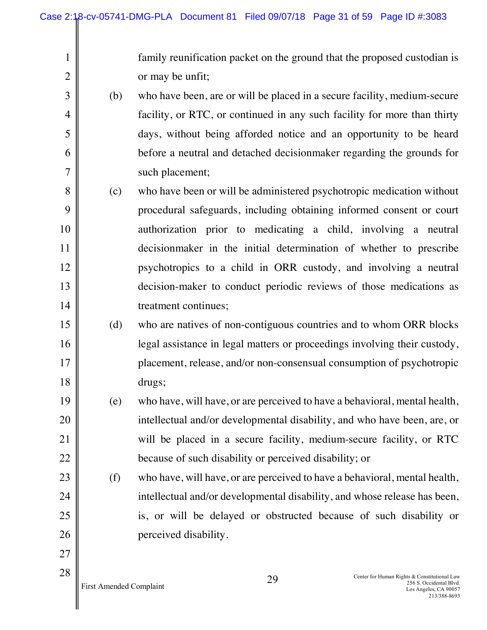family reunification packet on the ground that the proposed custodian is or may be unfit;

- (b) who have been, are or will be placed in a secure facility, medium-secure facility, or RTC, or continued in any such facility for more than thirty days, without being afforded notice and an opportunity to be heard before a neutral and detached decisionmaker regarding the grounds for such placement;
- 8 9 10 11 12 13 14 (c) who have been or will be administered psychotropic medication without procedural safeguards, including obtaining informed consent or court authorization prior to medicating a child, involving a neutral decisionmaker in the initial determination of whether to prescribe psychotropics to a child in ORR custody, and involving a neutral decision-maker to conduct periodic reviews of those medications as treatment continues;
- 15 16 17 18 (d) who are natives of non-contiguous countries and to whom ORR blocks legal assistance in legal matters or proceedings involving their custody, placement, release, and/or non-consensual consumption of psychotropic drugs;
- 19 20 21 22 (e) who have, will have, or are perceived to have a behavioral, mental health, intellectual and/or developmental disability, and who have been, are, or will be placed in a secure facility, medium-secure facility, or RTC because of such disability or perceived disability; or
	- (f) who have, will have, or are perceived to have a behavioral, mental health, intellectual and/or developmental disability, and whose release has been, is, or will be delayed or obstructed because of such disability or perceived disability.

1

2

3

4

5

6

7

23

24

25

26

27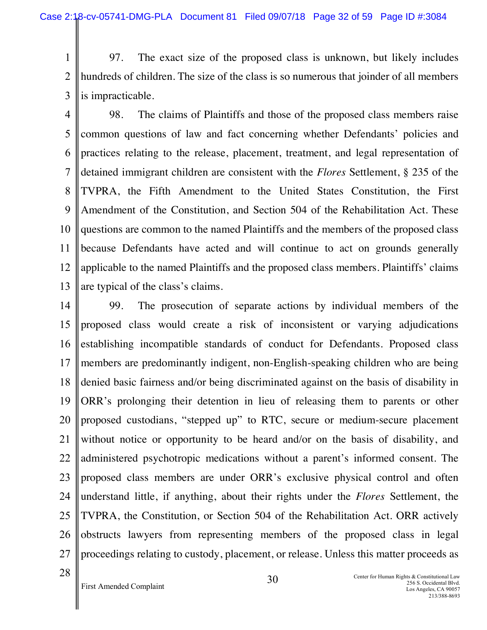1 2 3 97. The exact size of the proposed class is unknown, but likely includes hundreds of children. The size of the class is so numerous that joinder of all members is impracticable.

4 5 6 7 8 9 10 11 12 13 98. The claims of Plaintiffs and those of the proposed class members raise common questions of law and fact concerning whether Defendants' policies and practices relating to the release, placement, treatment, and legal representation of detained immigrant children are consistent with the *Flores* Settlement, § 235 of the TVPRA, the Fifth Amendment to the United States Constitution, the First Amendment of the Constitution, and Section 504 of the Rehabilitation Act. These questions are common to the named Plaintiffs and the members of the proposed class because Defendants have acted and will continue to act on grounds generally applicable to the named Plaintiffs and the proposed class members. Plaintiffs' claims are typical of the class's claims.

14 15 16 17 18 19 20 21 22 23 24 25 26 27 99. The prosecution of separate actions by individual members of the proposed class would create a risk of inconsistent or varying adjudications establishing incompatible standards of conduct for Defendants. Proposed class members are predominantly indigent, non-English-speaking children who are being denied basic fairness and/or being discriminated against on the basis of disability in ORR's prolonging their detention in lieu of releasing them to parents or other proposed custodians, "stepped up" to RTC, secure or medium-secure placement without notice or opportunity to be heard and/or on the basis of disability, and administered psychotropic medications without a parent's informed consent. The proposed class members are under ORR's exclusive physical control and often understand little, if anything, about their rights under the *Flores* Settlement, the TVPRA, the Constitution, or Section 504 of the Rehabilitation Act. ORR actively obstructs lawyers from representing members of the proposed class in legal proceedings relating to custody, placement, or release. Unless this matter proceeds as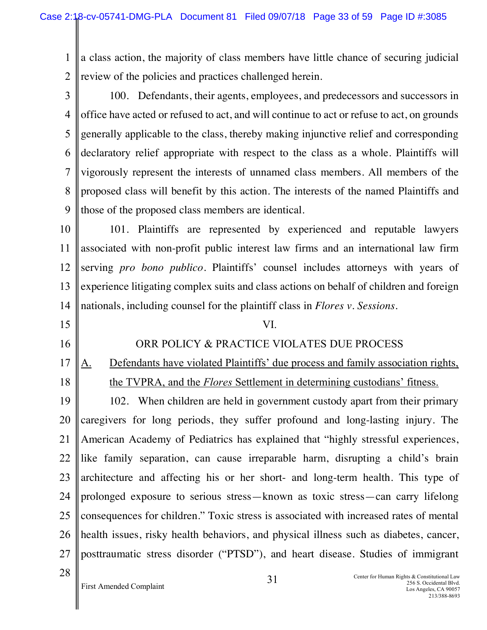1 2 a class action, the majority of class members have little chance of securing judicial review of the policies and practices challenged herein.

3 4 5 6 7 8 9 100. Defendants, their agents, employees, and predecessors and successors in office have acted or refused to act, and will continue to act or refuse to act, on grounds generally applicable to the class, thereby making injunctive relief and corresponding declaratory relief appropriate with respect to the class as a whole. Plaintiffs will vigorously represent the interests of unnamed class members. All members of the proposed class will benefit by this action. The interests of the named Plaintiffs and those of the proposed class members are identical.

10 11 12 13 14 101. Plaintiffs are represented by experienced and reputable lawyers associated with non-profit public interest law firms and an international law firm serving *pro bono publico*. Plaintiffs' counsel includes attorneys with years of experience litigating complex suits and class actions on behalf of children and foreign nationals, including counsel for the plaintiff class in *Flores v. Sessions*.

15 16 17 18 19 20 21 22 23 24 25 26 27 28 VI. ORR POLICY & PRACTICE VIOLATES DUE PROCESS A. Defendants have violated Plaintiffs' due process and family association rights, the TVPRA, and the *Flores* Settlement in determining custodians' fitness. 102. When children are held in government custody apart from their primary caregivers for long periods, they suffer profound and long-lasting injury. The American Academy of Pediatrics has explained that "highly stressful experiences, like family separation, can cause irreparable harm, disrupting a child's brain architecture and affecting his or her short- and long-term health. This type of prolonged exposure to serious stress—known as toxic stress—can carry lifelong consequences for children." Toxic stress is associated with increased rates of mental health issues, risky health behaviors, and physical illness such as diabetes, cancer, posttraumatic stress disorder ("PTSD"), and heart disease. Studies of immigrant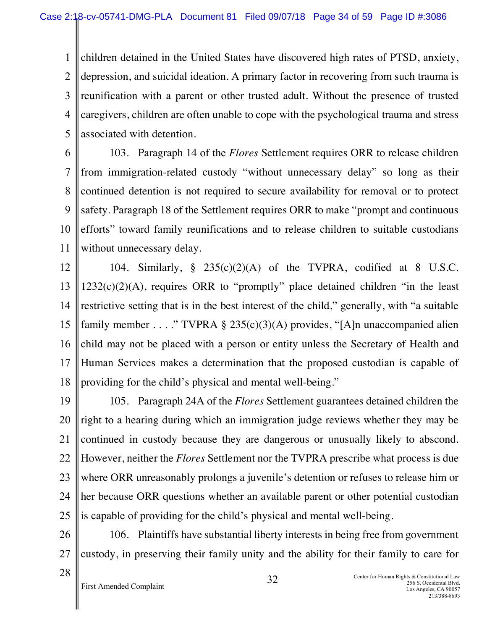1 2 3 4 5 children detained in the United States have discovered high rates of PTSD, anxiety, depression, and suicidal ideation. A primary factor in recovering from such trauma is reunification with a parent or other trusted adult. Without the presence of trusted caregivers, children are often unable to cope with the psychological trauma and stress associated with detention.

6 7 8 9 10 11 103. Paragraph 14 of the *Flores* Settlement requires ORR to release children from immigration-related custody "without unnecessary delay" so long as their continued detention is not required to secure availability for removal or to protect safety. Paragraph 18 of the Settlement requires ORR to make "prompt and continuous efforts" toward family reunifications and to release children to suitable custodians without unnecessary delay.

12 13 14 15 16 17 18 104. Similarly,  $\S$  235(c)(2)(A) of the TVPRA, codified at 8 U.S.C.  $1232(c)(2)(A)$ , requires ORR to "promptly" place detained children "in the least restrictive setting that is in the best interest of the child," generally, with "a suitable family member . . . ." TVPRA § 235(c)(3)(A) provides, "[A]n unaccompanied alien child may not be placed with a person or entity unless the Secretary of Health and Human Services makes a determination that the proposed custodian is capable of providing for the child's physical and mental well-being."

19 20 21 22 23 24 25 105. Paragraph 24A of the *Flores* Settlement guarantees detained children the right to a hearing during which an immigration judge reviews whether they may be continued in custody because they are dangerous or unusually likely to abscond. However, neither the *Flores* Settlement nor the TVPRA prescribe what process is due where ORR unreasonably prolongs a juvenile's detention or refuses to release him or her because ORR questions whether an available parent or other potential custodian is capable of providing for the child's physical and mental well-being.

26 27 106. Plaintiffs have substantial liberty interests in being free from government custody, in preserving their family unity and the ability for their family to care for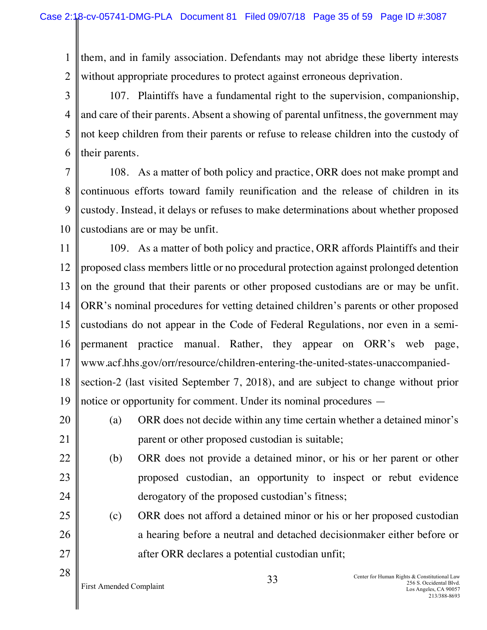1 2 them, and in family association. Defendants may not abridge these liberty interests without appropriate procedures to protect against erroneous deprivation.

3 4 5 6 107. Plaintiffs have a fundamental right to the supervision, companionship, and care of their parents. Absent a showing of parental unfitness, the government may not keep children from their parents or refuse to release children into the custody of their parents.

7 8 9 10 108. As a matter of both policy and practice, ORR does not make prompt and continuous efforts toward family reunification and the release of children in its custody. Instead, it delays or refuses to make determinations about whether proposed custodians are or may be unfit.

11 12 13 14 15 16 17 18 19 109. As a matter of both policy and practice, ORR affords Plaintiffs and their proposed class members little or no procedural protection against prolonged detention on the ground that their parents or other proposed custodians are or may be unfit. ORR's nominal procedures for vetting detained children's parents or other proposed custodians do not appear in the Code of Federal Regulations, nor even in a semipermanent practice manual. Rather, they appear on ORR's web page, www.acf.hhs.gov/orr/resource/children-entering-the-united-states-unaccompaniedsection-2 (last visited September 7, 2018), and are subject to change without prior notice or opportunity for comment. Under its nominal procedures —

20

21

28

- (a) ORR does not decide within any time certain whether a detained minor's parent or other proposed custodian is suitable;
- 22 23 24 (b) ORR does not provide a detained minor, or his or her parent or other proposed custodian, an opportunity to inspect or rebut evidence derogatory of the proposed custodian's fitness;
- 25 26 27 (c) ORR does not afford a detained minor or his or her proposed custodian a hearing before a neutral and detached decisionmaker either before or after ORR declares a potential custodian unfit;

First Amended Complaint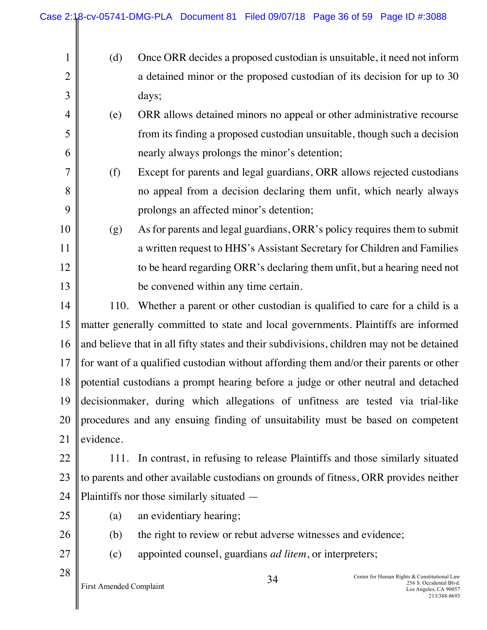$\parallel$ 

| 1              | (d)                                                                                       | Once ORR decides a proposed custodian is unsuitable, it need not inform                                                |  |
|----------------|-------------------------------------------------------------------------------------------|------------------------------------------------------------------------------------------------------------------------|--|
| $\overline{2}$ |                                                                                           | a detained minor or the proposed custodian of its decision for up to 30                                                |  |
| 3              |                                                                                           | days;                                                                                                                  |  |
| $\overline{4}$ | (e)                                                                                       | ORR allows detained minors no appeal or other administrative recourse                                                  |  |
| 5              |                                                                                           | from its finding a proposed custodian unsuitable, though such a decision                                               |  |
| 6              |                                                                                           | nearly always prolongs the minor's detention;                                                                          |  |
| $\overline{7}$ | (f)                                                                                       | Except for parents and legal guardians, ORR allows rejected custodians                                                 |  |
| 8              |                                                                                           | no appeal from a decision declaring them unfit, which nearly always                                                    |  |
| 9              |                                                                                           | prolongs an affected minor's detention;                                                                                |  |
| 10             | (g)                                                                                       | As for parents and legal guardians, ORR's policy requires them to submit                                               |  |
| 11             |                                                                                           | a written request to HHS's Assistant Secretary for Children and Families                                               |  |
| 12             |                                                                                           | to be heard regarding ORR's declaring them unfit, but a hearing need not                                               |  |
| 13             |                                                                                           | be convened within any time certain.                                                                                   |  |
| 14             | 110.                                                                                      | Whether a parent or other custodian is qualified to care for a child is a                                              |  |
| 15             | matter generally committed to state and local governments. Plaintiffs are informed        |                                                                                                                        |  |
| 16             | and believe that in all fifty states and their subdivisions, children may not be detained |                                                                                                                        |  |
| 17             |                                                                                           | for want of a qualified custodian without affording them and/or their parents or other                                 |  |
| 18             | potential custodians a prompt hearing before a judge or other neutral and detached        |                                                                                                                        |  |
|                | 19 decisionmaker, during which allegations of unfitness are tested via trial-like         |                                                                                                                        |  |
| 20             | procedures and any ensuing finding of unsuitability must be based on competent            |                                                                                                                        |  |
| 21             | evidence.                                                                                 |                                                                                                                        |  |
| 22             | 111.                                                                                      | In contrast, in refusing to release Plaintiffs and those similarly situated                                            |  |
| 23             | to parents and other available custodians on grounds of fitness, ORR provides neither     |                                                                                                                        |  |
| 24             | Plaintiffs nor those similarly situated —                                                 |                                                                                                                        |  |
| 25             | (a)                                                                                       | an evidentiary hearing;                                                                                                |  |
| 26             | (b)                                                                                       | the right to review or rebut adverse witnesses and evidence;                                                           |  |
| 27             | (c)                                                                                       | appointed counsel, guardians <i>ad litem</i> , or interpreters;                                                        |  |
| 28             | First Amended Complaint                                                                   | Center for Human Rights & Constitutional Law<br>34<br>256 S. Occidental Blvd.<br>Los Angeles, CA 90057<br>213/388-8693 |  |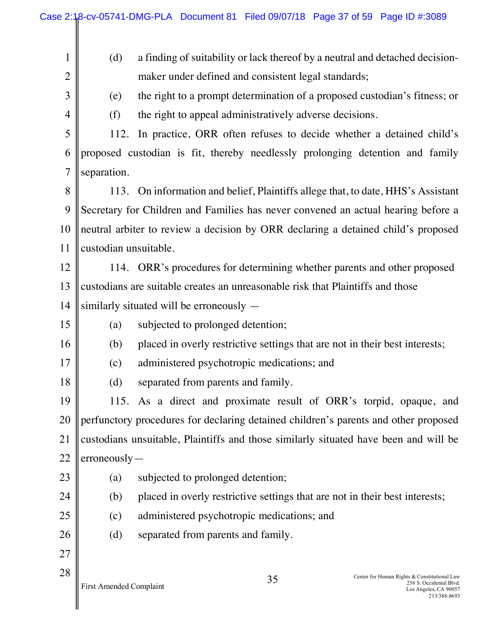| $\mathbf{1}$   | (d)                                                                                  | a finding of suitability or lack thereof by a neutral and detached decision-                                           |  |
|----------------|--------------------------------------------------------------------------------------|------------------------------------------------------------------------------------------------------------------------|--|
| $\overline{2}$ |                                                                                      | maker under defined and consistent legal standards;                                                                    |  |
| $\overline{3}$ | (e)                                                                                  | the right to a prompt determination of a proposed custodian's fitness; or                                              |  |
| $\overline{4}$ | (f)                                                                                  | the right to appeal administratively adverse decisions.                                                                |  |
| 5              |                                                                                      | 112. In practice, ORR often refuses to decide whether a detained child's                                               |  |
| 6              |                                                                                      | proposed custodian is fit, thereby needlessly prolonging detention and family                                          |  |
| $\overline{7}$ | separation.                                                                          |                                                                                                                        |  |
| 8              |                                                                                      | 113. On information and belief, Plaintiffs allege that, to date, HHS's Assistant                                       |  |
| 9              |                                                                                      | Secretary for Children and Families has never convened an actual hearing before a                                      |  |
| 10             |                                                                                      | neutral arbiter to review a decision by ORR declaring a detained child's proposed                                      |  |
| 11             | custodian unsuitable.                                                                |                                                                                                                        |  |
| 12             |                                                                                      | 114. ORR's procedures for determining whether parents and other proposed                                               |  |
| 13             |                                                                                      | custodians are suitable creates an unreasonable risk that Plaintiffs and those                                         |  |
| 14             |                                                                                      | similarly situated will be erroneously —                                                                               |  |
| 15             | (a)<br>subjected to prolonged detention;                                             |                                                                                                                        |  |
| 16             | placed in overly restrictive settings that are not in their best interests;<br>(b)   |                                                                                                                        |  |
| 17             | administered psychotropic medications; and<br>(c)                                    |                                                                                                                        |  |
| 18             | (d) separated from parents and family.                                               |                                                                                                                        |  |
| 19             | 115. As a direct and proximate result of ORR's torpid, opaque, and                   |                                                                                                                        |  |
| 20             | perfunctory procedures for declaring detained children's parents and other proposed  |                                                                                                                        |  |
| 21             | custodians unsuitable, Plaintiffs and those similarly situated have been and will be |                                                                                                                        |  |
| 22             | $\text{erroneously}$                                                                 |                                                                                                                        |  |
| 23             | (a)                                                                                  | subjected to prolonged detention;                                                                                      |  |
| 24             | (b)                                                                                  | placed in overly restrictive settings that are not in their best interests;                                            |  |
| 25             | administered psychotropic medications; and<br>(c)                                    |                                                                                                                        |  |
| 26             | (d)                                                                                  | separated from parents and family.                                                                                     |  |
| 27             |                                                                                      |                                                                                                                        |  |
| 28             | First Amended Complaint                                                              | Center for Human Rights & Constitutional Law<br>35<br>256 S. Occidental Blvd.<br>Los Angeles, CA 90057<br>213/388-8693 |  |

Case 2:18-cv-05741-DMG-PLA Document 81 Filed 09/07/18 Page 37 of 59 Page ID #:3089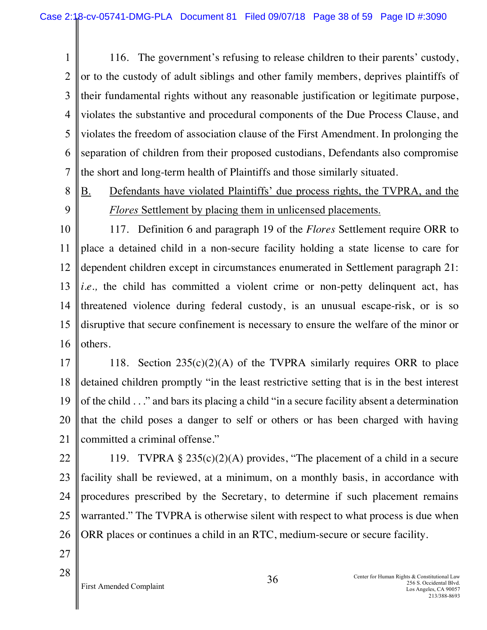1 2 3 4 5 6 7 116. The government's refusing to release children to their parents' custody, or to the custody of adult siblings and other family members, deprives plaintiffs of their fundamental rights without any reasonable justification or legitimate purpose, violates the substantive and procedural components of the Due Process Clause, and violates the freedom of association clause of the First Amendment. In prolonging the separation of children from their proposed custodians, Defendants also compromise the short and long-term health of Plaintiffs and those similarly situated.

- 8 9
- B. Defendants have violated Plaintiffs' due process rights, the TVPRA, and the *Flores* Settlement by placing them in unlicensed placements.

10 11 12 13 14 15 16 117. Definition 6 and paragraph 19 of the *Flores* Settlement require ORR to place a detained child in a non-secure facility holding a state license to care for dependent children except in circumstances enumerated in Settlement paragraph 21: *i.e.*, the child has committed a violent crime or non-petty delinquent act, has threatened violence during federal custody, is an unusual escape-risk, or is so disruptive that secure confinement is necessary to ensure the welfare of the minor or others.

17 18 19 20 21 118. Section  $235(c)(2)(A)$  of the TVPRA similarly requires ORR to place detained children promptly "in the least restrictive setting that is in the best interest of the child . . ." and bars its placing a child "in a secure facility absent a determination that the child poses a danger to self or others or has been charged with having committed a criminal offense."

- 22 23 24 25 26 119. TVPRA  $\S 235(c)(2)(A)$  provides, "The placement of a child in a secure facility shall be reviewed, at a minimum, on a monthly basis, in accordance with procedures prescribed by the Secretary, to determine if such placement remains warranted." The TVPRA is otherwise silent with respect to what process is due when ORR places or continues a child in an RTC, medium-secure or secure facility.
- 27 28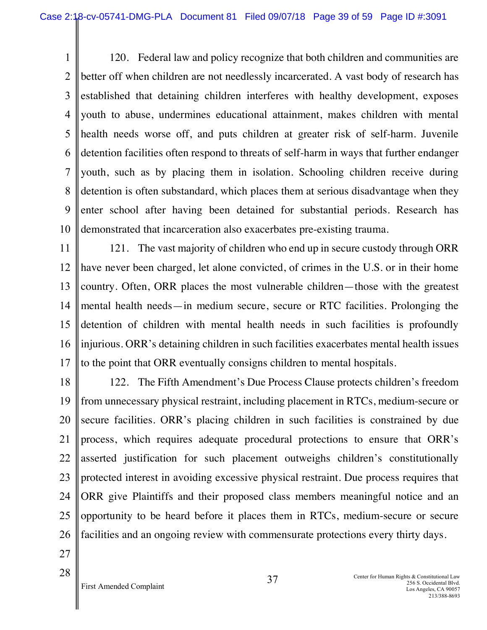1 2 3 4 5 6 7 8 9 10 120. Federal law and policy recognize that both children and communities are better off when children are not needlessly incarcerated. A vast body of research has established that detaining children interferes with healthy development, exposes youth to abuse, undermines educational attainment, makes children with mental health needs worse off, and puts children at greater risk of self-harm. Juvenile detention facilities often respond to threats of self-harm in ways that further endanger youth, such as by placing them in isolation. Schooling children receive during detention is often substandard, which places them at serious disadvantage when they enter school after having been detained for substantial periods. Research has demonstrated that incarceration also exacerbates pre-existing trauma.

11 12 13 14 15 16 17 121. The vast majority of children who end up in secure custody through ORR have never been charged, let alone convicted, of crimes in the U.S. or in their home country. Often, ORR places the most vulnerable children—those with the greatest mental health needs—in medium secure, secure or RTC facilities. Prolonging the detention of children with mental health needs in such facilities is profoundly injurious. ORR's detaining children in such facilities exacerbates mental health issues to the point that ORR eventually consigns children to mental hospitals.

18 19 20 21 22 23 24 25 26 122. The Fifth Amendment's Due Process Clause protects children's freedom from unnecessary physical restraint, including placement in RTCs, medium-secure or secure facilities. ORR's placing children in such facilities is constrained by due process, which requires adequate procedural protections to ensure that ORR's asserted justification for such placement outweighs children's constitutionally protected interest in avoiding excessive physical restraint. Due process requires that ORR give Plaintiffs and their proposed class members meaningful notice and an opportunity to be heard before it places them in RTCs, medium-secure or secure facilities and an ongoing review with commensurate protections every thirty days.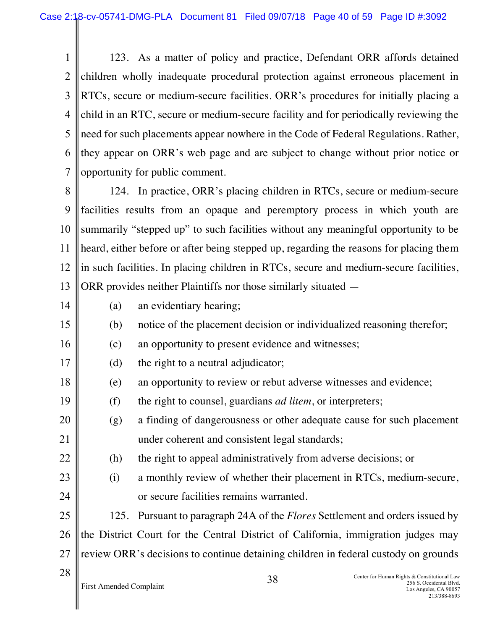1 2 3 4 5 6 7 123. As a matter of policy and practice, Defendant ORR affords detained children wholly inadequate procedural protection against erroneous placement in RTCs, secure or medium-secure facilities. ORR's procedures for initially placing a child in an RTC, secure or medium-secure facility and for periodically reviewing the need for such placements appear nowhere in the Code of Federal Regulations. Rather, they appear on ORR's web page and are subject to change without prior notice or opportunity for public comment.

8 9 10 11 12 13 124. In practice, ORR's placing children in RTCs, secure or medium-secure facilities results from an opaque and peremptory process in which youth are summarily "stepped up" to such facilities without any meaningful opportunity to be heard, either before or after being stepped up, regarding the reasons for placing them in such facilities. In placing children in RTCs, secure and medium-secure facilities, ORR provides neither Plaintiffs nor those similarly situated —

- 14
- (a) an evidentiary hearing;
- 15 (b) notice of the placement decision or individualized reasoning therefor;
- 16 (c) an opportunity to present evidence and witnesses;
- 17 (d) the right to a neutral adjudicator;
- 18 (e) an opportunity to review or rebut adverse witnesses and evidence;
- 19 (f) the right to counsel, guardians *ad litem*, or interpreters;
- 20 21 (g) a finding of dangerousness or other adequate cause for such placement under coherent and consistent legal standards;
- 22 (h) the right to appeal administratively from adverse decisions; or
- 23 24 (i) a monthly review of whether their placement in RTCs, medium-secure, or secure facilities remains warranted.

25 26 27 125. Pursuant to paragraph 24A of the *Flores* Settlement and orders issued by the District Court for the Central District of California, immigration judges may review ORR's decisions to continue detaining children in federal custody on grounds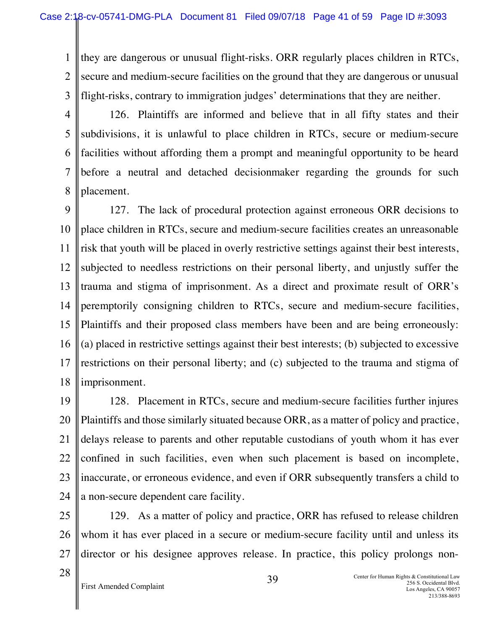1 2 3 they are dangerous or unusual flight-risks. ORR regularly places children in RTCs, secure and medium-secure facilities on the ground that they are dangerous or unusual flight-risks, contrary to immigration judges' determinations that they are neither.

4 5 6 7 8 126. Plaintiffs are informed and believe that in all fifty states and their subdivisions, it is unlawful to place children in RTCs, secure or medium-secure facilities without affording them a prompt and meaningful opportunity to be heard before a neutral and detached decisionmaker regarding the grounds for such placement.

9 10 11 12 13 14 15 16 17 18 127. The lack of procedural protection against erroneous ORR decisions to place children in RTCs, secure and medium-secure facilities creates an unreasonable risk that youth will be placed in overly restrictive settings against their best interests, subjected to needless restrictions on their personal liberty, and unjustly suffer the trauma and stigma of imprisonment. As a direct and proximate result of ORR's peremptorily consigning children to RTCs, secure and medium-secure facilities, Plaintiffs and their proposed class members have been and are being erroneously: (a) placed in restrictive settings against their best interests; (b) subjected to excessive restrictions on their personal liberty; and (c) subjected to the trauma and stigma of imprisonment.

19 20 21 22 23 24 128. Placement in RTCs, secure and medium-secure facilities further injures Plaintiffs and those similarly situated because ORR, as a matter of policy and practice, delays release to parents and other reputable custodians of youth whom it has ever confined in such facilities, even when such placement is based on incomplete, inaccurate, or erroneous evidence, and even if ORR subsequently transfers a child to a non-secure dependent care facility.

25 26 27 129. As a matter of policy and practice, ORR has refused to release children whom it has ever placed in a secure or medium-secure facility until and unless its director or his designee approves release. In practice, this policy prolongs non-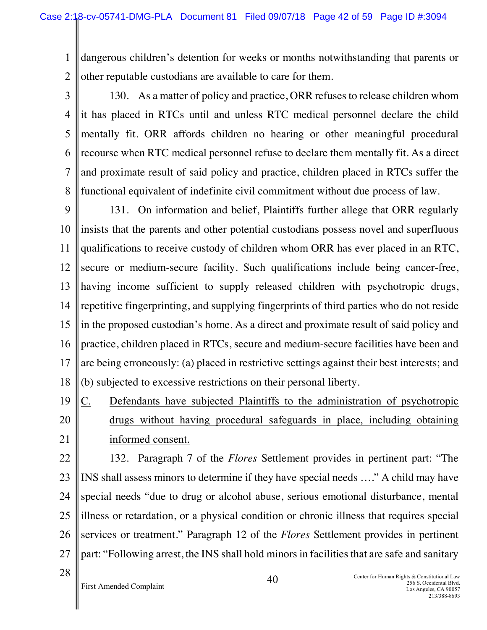1 2 dangerous children's detention for weeks or months notwithstanding that parents or other reputable custodians are available to care for them.

3

4 5 6 7 8 130. As a matter of policy and practice, ORR refuses to release children whom it has placed in RTCs until and unless RTC medical personnel declare the child mentally fit. ORR affords children no hearing or other meaningful procedural recourse when RTC medical personnel refuse to declare them mentally fit. As a direct and proximate result of said policy and practice, children placed in RTCs suffer the functional equivalent of indefinite civil commitment without due process of law.

9 10 11 12 13 14 15 16 17 18 131. On information and belief, Plaintiffs further allege that ORR regularly insists that the parents and other potential custodians possess novel and superfluous qualifications to receive custody of children whom ORR has ever placed in an RTC, secure or medium-secure facility. Such qualifications include being cancer-free, having income sufficient to supply released children with psychotropic drugs, repetitive fingerprinting, and supplying fingerprints of third parties who do not reside in the proposed custodian's home. As a direct and proximate result of said policy and practice, children placed in RTCs, secure and medium-secure facilities have been and are being erroneously: (a) placed in restrictive settings against their best interests; and (b) subjected to excessive restrictions on their personal liberty.

19 20 21 C. Defendants have subjected Plaintiffs to the administration of psychotropic drugs without having procedural safeguards in place, including obtaining informed consent.

22 23 24 25 26 27 132. Paragraph 7 of the *Flores* Settlement provides in pertinent part: "The INS shall assess minors to determine if they have special needs …." A child may have special needs "due to drug or alcohol abuse, serious emotional disturbance, mental illness or retardation, or a physical condition or chronic illness that requires special services or treatment." Paragraph 12 of the *Flores* Settlement provides in pertinent part: "Following arrest, the INS shall hold minors in facilities that are safe and sanitary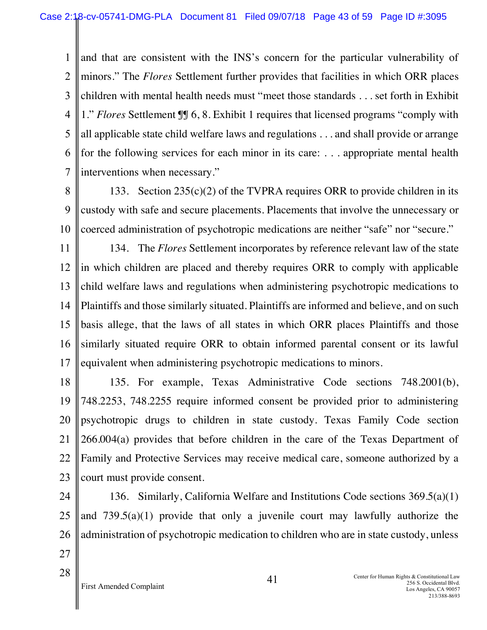1  $\mathcal{L}$ 3 4 5 6 7 and that are consistent with the INS's concern for the particular vulnerability of minors." The *Flores* Settlement further provides that facilities in which ORR places children with mental health needs must "meet those standards . . . set forth in Exhibit 1." *Flores* Settlement ¶¶ 6, 8. Exhibit 1 requires that licensed programs "comply with all applicable state child welfare laws and regulations . . . and shall provide or arrange for the following services for each minor in its care: . . . appropriate mental health interventions when necessary."

8

9 10 133. Section  $235(c)(2)$  of the TVPRA requires ORR to provide children in its custody with safe and secure placements. Placements that involve the unnecessary or coerced administration of psychotropic medications are neither "safe" nor "secure."

11 12 13 14 15 16 17 134. The *Flores* Settlement incorporates by reference relevant law of the state in which children are placed and thereby requires ORR to comply with applicable child welfare laws and regulations when administering psychotropic medications to Plaintiffs and those similarly situated. Plaintiffs are informed and believe, and on such basis allege, that the laws of all states in which ORR places Plaintiffs and those similarly situated require ORR to obtain informed parental consent or its lawful equivalent when administering psychotropic medications to minors.

18 19 20 21 22 23 135. For example, Texas Administrative Code sections 748.2001(b), 748.2253, 748.2255 require informed consent be provided prior to administering psychotropic drugs to children in state custody. Texas Family Code section 266.004(a) provides that before children in the care of the Texas Department of Family and Protective Services may receive medical care, someone authorized by a court must provide consent.

24 25 26 27 136. Similarly, California Welfare and Institutions Code sections 369.5(a)(1) and  $739.5(a)(1)$  provide that only a juvenile court may lawfully authorize the administration of psychotropic medication to children who are in state custody, unless

First Amended Complaint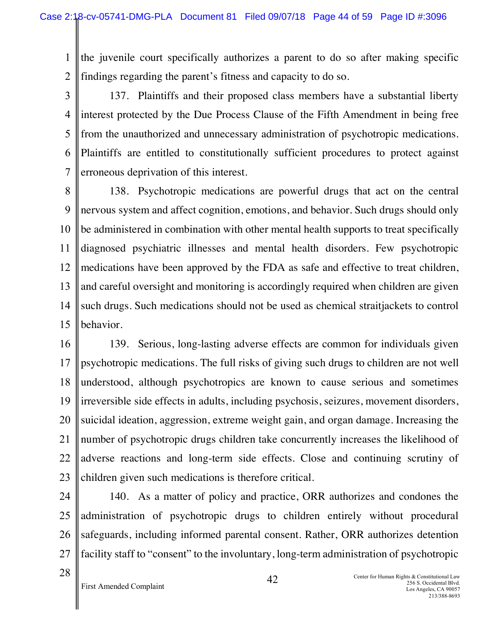1 2 the juvenile court specifically authorizes a parent to do so after making specific findings regarding the parent's fitness and capacity to do so.

3 4 5 6 7 137. Plaintiffs and their proposed class members have a substantial liberty interest protected by the Due Process Clause of the Fifth Amendment in being free from the unauthorized and unnecessary administration of psychotropic medications. Plaintiffs are entitled to constitutionally sufficient procedures to protect against erroneous deprivation of this interest.

8 9 10 11 12 13 14 15 138. Psychotropic medications are powerful drugs that act on the central nervous system and affect cognition, emotions, and behavior. Such drugs should only be administered in combination with other mental health supports to treat specifically diagnosed psychiatric illnesses and mental health disorders. Few psychotropic medications have been approved by the FDA as safe and effective to treat children, and careful oversight and monitoring is accordingly required when children are given such drugs. Such medications should not be used as chemical straitjackets to control behavior.

- 16 17 18 19 20 21 22 23 139. Serious, long-lasting adverse effects are common for individuals given psychotropic medications. The full risks of giving such drugs to children are not well understood, although psychotropics are known to cause serious and sometimes irreversible side effects in adults, including psychosis, seizures, movement disorders, suicidal ideation, aggression, extreme weight gain, and organ damage. Increasing the number of psychotropic drugs children take concurrently increases the likelihood of adverse reactions and long-term side effects. Close and continuing scrutiny of children given such medications is therefore critical.
- 24 25 26 27 140. As a matter of policy and practice, ORR authorizes and condones the administration of psychotropic drugs to children entirely without procedural safeguards, including informed parental consent. Rather, ORR authorizes detention facility staff to "consent" to the involuntary, long-term administration of psychotropic
- 28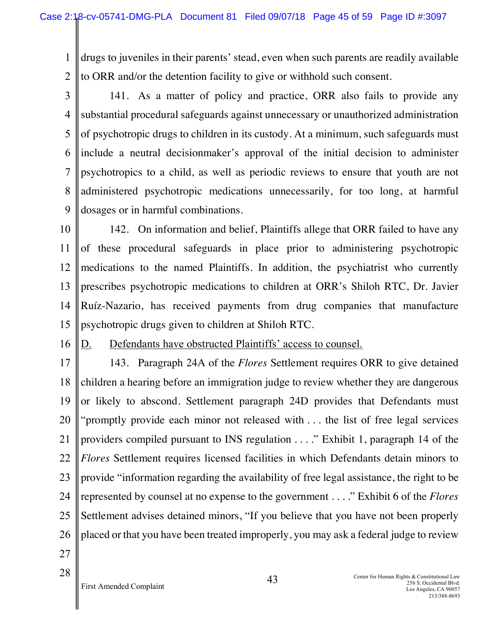1 2 drugs to juveniles in their parents' stead, even when such parents are readily available to ORR and/or the detention facility to give or withhold such consent.

3

4 5 6 7 8 9 141. As a matter of policy and practice, ORR also fails to provide any substantial procedural safeguards against unnecessary or unauthorized administration of psychotropic drugs to children in its custody. At a minimum, such safeguards must include a neutral decisionmaker's approval of the initial decision to administer psychotropics to a child, as well as periodic reviews to ensure that youth are not administered psychotropic medications unnecessarily, for too long, at harmful dosages or in harmful combinations.

10 11 12 13 14 15 142. On information and belief, Plaintiffs allege that ORR failed to have any of these procedural safeguards in place prior to administering psychotropic medications to the named Plaintiffs. In addition, the psychiatrist who currently prescribes psychotropic medications to children at ORR's Shiloh RTC, Dr. Javier Ruíz-Nazario, has received payments from drug companies that manufacture psychotropic drugs given to children at Shiloh RTC.

16

# D. Defendants have obstructed Plaintiffs' access to counsel.

17 18 19 20 21 22 23 24 25 26 143. Paragraph 24A of the *Flores* Settlement requires ORR to give detained children a hearing before an immigration judge to review whether they are dangerous or likely to abscond. Settlement paragraph 24D provides that Defendants must "promptly provide each minor not released with . . . the list of free legal services providers compiled pursuant to INS regulation . . . ." Exhibit 1, paragraph 14 of the *Flores* Settlement requires licensed facilities in which Defendants detain minors to provide "information regarding the availability of free legal assistance, the right to be represented by counsel at no expense to the government . . . ." Exhibit 6 of the *Flores* Settlement advises detained minors, "If you believe that you have not been properly placed or that you have been treated improperly, you may ask a federal judge to review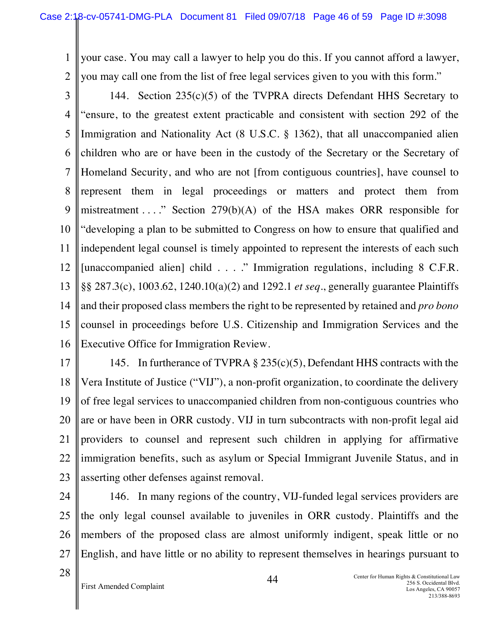1 2 your case. You may call a lawyer to help you do this. If you cannot afford a lawyer, you may call one from the list of free legal services given to you with this form."

3 4 5 6 7 8 9 10 11 12 13 14 15 16 144. Section 235(c)(5) of the TVPRA directs Defendant HHS Secretary to "ensure, to the greatest extent practicable and consistent with section 292 of the Immigration and Nationality Act (8 U.S.C. § 1362), that all unaccompanied alien children who are or have been in the custody of the Secretary or the Secretary of Homeland Security, and who are not [from contiguous countries], have counsel to represent them in legal proceedings or matters and protect them from mistreatment  $\dots$ ." Section 279(b)(A) of the HSA makes ORR responsible for "developing a plan to be submitted to Congress on how to ensure that qualified and independent legal counsel is timely appointed to represent the interests of each such [unaccompanied alien] child . . . ." Immigration regulations, including 8 C.F.R. §§ 287.3(c), 1003.62, 1240.10(a)(2) and 1292.1 *et seq*., generally guarantee Plaintiffs and their proposed class members the right to be represented by retained and *pro bono* counsel in proceedings before U.S. Citizenship and Immigration Services and the Executive Office for Immigration Review.

17 18 19 20 21 22 23 145. In furtherance of TVPRA § 235(c)(5), Defendant HHS contracts with the Vera Institute of Justice ("VIJ"), a non-profit organization, to coordinate the delivery of free legal services to unaccompanied children from non-contiguous countries who are or have been in ORR custody. VIJ in turn subcontracts with non-profit legal aid providers to counsel and represent such children in applying for affirmative immigration benefits, such as asylum or Special Immigrant Juvenile Status, and in asserting other defenses against removal.

24 25 26 27 146. In many regions of the country, VIJ-funded legal services providers are the only legal counsel available to juveniles in ORR custody. Plaintiffs and the members of the proposed class are almost uniformly indigent, speak little or no English, and have little or no ability to represent themselves in hearings pursuant to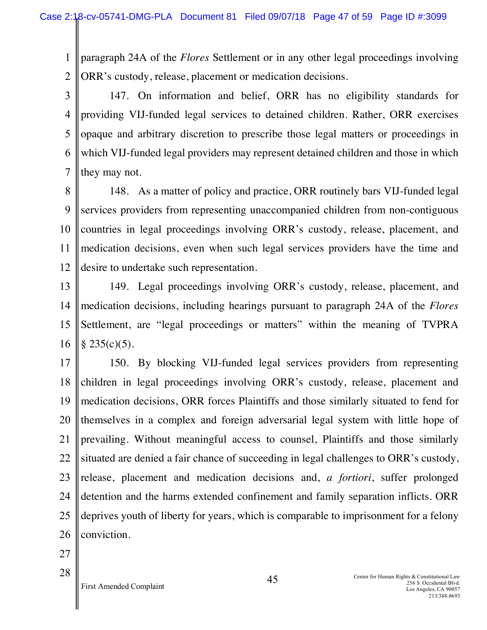1 2 paragraph 24A of the *Flores* Settlement or in any other legal proceedings involving ORR's custody, release, placement or medication decisions.

3 4 5 6 7 147. On information and belief, ORR has no eligibility standards for providing VIJ-funded legal services to detained children. Rather, ORR exercises opaque and arbitrary discretion to prescribe those legal matters or proceedings in which VIJ-funded legal providers may represent detained children and those in which they may not.

8 9 10 11 12 148. As a matter of policy and practice, ORR routinely bars VIJ-funded legal services providers from representing unaccompanied children from non-contiguous countries in legal proceedings involving ORR's custody, release, placement, and medication decisions, even when such legal services providers have the time and desire to undertake such representation.

13 14 15 16 149. Legal proceedings involving ORR's custody, release, placement, and medication decisions, including hearings pursuant to paragraph 24A of the *Flores* Settlement, are "legal proceedings or matters" within the meaning of TVPRA  $§ 235(c)(5).$ 

17 18 19 20 21 22 23 24 25 26 150. By blocking VIJ-funded legal services providers from representing children in legal proceedings involving ORR's custody, release, placement and medication decisions, ORR forces Plaintiffs and those similarly situated to fend for themselves in a complex and foreign adversarial legal system with little hope of prevailing. Without meaningful access to counsel, Plaintiffs and those similarly situated are denied a fair chance of succeeding in legal challenges to ORR's custody, release, placement and medication decisions and, *a fortiori*, suffer prolonged detention and the harms extended confinement and family separation inflicts. ORR deprives youth of liberty for years, which is comparable to imprisonment for a felony conviction.

27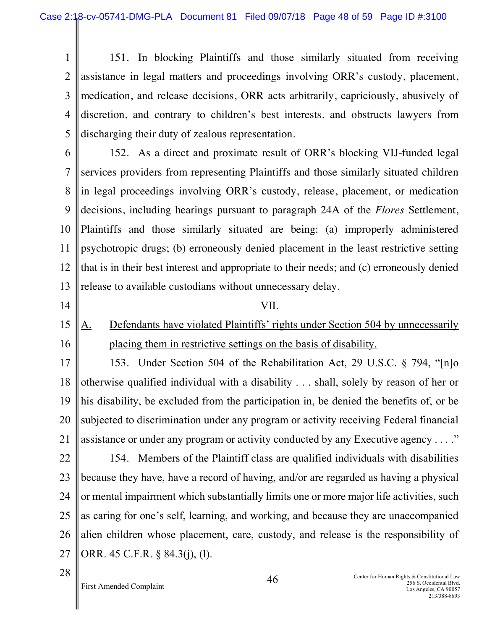1 2 3 4 5 151. In blocking Plaintiffs and those similarly situated from receiving assistance in legal matters and proceedings involving ORR's custody, placement, medication, and release decisions, ORR acts arbitrarily, capriciously, abusively of discretion, and contrary to children's best interests, and obstructs lawyers from discharging their duty of zealous representation.

6

7 8 9 10 11 12 13 152. As a direct and proximate result of ORR's blocking VIJ-funded legal services providers from representing Plaintiffs and those similarly situated children in legal proceedings involving ORR's custody, release, placement, or medication decisions, including hearings pursuant to paragraph 24A of the *Flores* Settlement, Plaintiffs and those similarly situated are being: (a) improperly administered psychotropic drugs; (b) erroneously denied placement in the least restrictive setting that is in their best interest and appropriate to their needs; and (c) erroneously denied release to available custodians without unnecessary delay.

14

- VII.
- 15 16 A. Defendants have violated Plaintiffs' rights under Section 504 by unnecessarily placing them in restrictive settings on the basis of disability.

17 18 19 20 21 153. Under Section 504 of the Rehabilitation Act, 29 U.S.C. § 794, "[n]o otherwise qualified individual with a disability . . . shall, solely by reason of her or his disability, be excluded from the participation in, be denied the benefits of, or be subjected to discrimination under any program or activity receiving Federal financial assistance or under any program or activity conducted by any Executive agency . . . ."

22 23 24 25 26 27 154. Members of the Plaintiff class are qualified individuals with disabilities because they have, have a record of having, and/or are regarded as having a physical or mental impairment which substantially limits one or more major life activities, such as caring for one's self, learning, and working, and because they are unaccompanied alien children whose placement, care, custody, and release is the responsibility of ORR. 45 C.F.R. § 84.3(j), (l).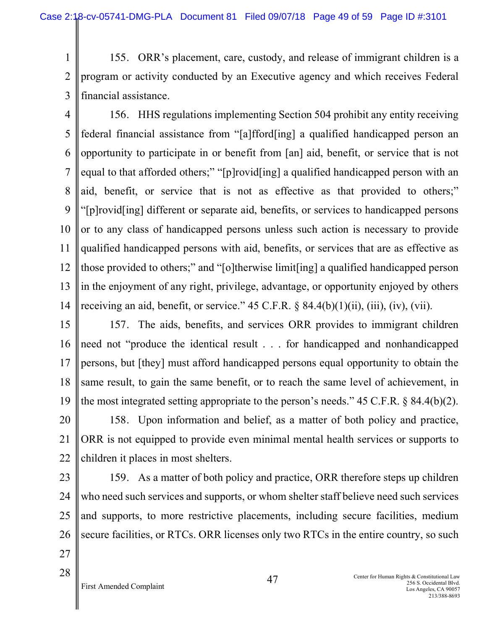1 2 3 155. ORR's placement, care, custody, and release of immigrant children is a program or activity conducted by an Executive agency and which receives Federal financial assistance.

4 5 6 7 8 9 10 11 12 13 14 156. HHS regulations implementing Section 504 prohibit any entity receiving federal financial assistance from "[a]fford[ing] a qualified handicapped person an opportunity to participate in or benefit from [an] aid, benefit, or service that is not equal to that afforded others;" "[p]rovid[ing] a qualified handicapped person with an aid, benefit, or service that is not as effective as that provided to others;" "[p]rovid[ing] different or separate aid, benefits, or services to handicapped persons or to any class of handicapped persons unless such action is necessary to provide qualified handicapped persons with aid, benefits, or services that are as effective as those provided to others;" and "[o]therwise limit[ing] a qualified handicapped person in the enjoyment of any right, privilege, advantage, or opportunity enjoyed by others receiving an aid, benefit, or service."  $45$  C.F.R.  $\S$   $84.4(b)(1)(ii)$ , (iii), (iv), (vii).

15 16 17 18 19 157. The aids, benefits, and services ORR provides to immigrant children need not "produce the identical result . . . for handicapped and nonhandicapped persons, but [they] must afford handicapped persons equal opportunity to obtain the same result, to gain the same benefit, or to reach the same level of achievement, in the most integrated setting appropriate to the person's needs." 45 C.F.R. § 84.4(b)(2).

20 21 22 158. Upon information and belief, as a matter of both policy and practice, ORR is not equipped to provide even minimal mental health services or supports to children it places in most shelters.

23

24 25 26 27 159. As a matter of both policy and practice, ORR therefore steps up children who need such services and supports, or whom shelter staff believe need such services and supports, to more restrictive placements, including secure facilities, medium secure facilities, or RTCs. ORR licenses only two RTCs in the entire country, so such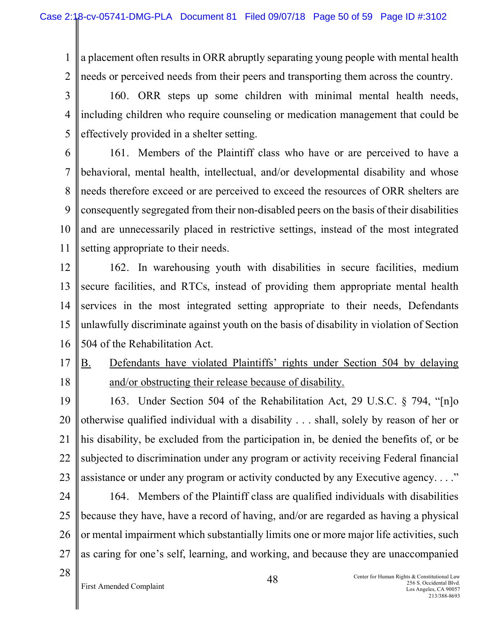1 2 a placement often results in ORR abruptly separating young people with mental health needs or perceived needs from their peers and transporting them across the country.

3 4 5 160. ORR steps up some children with minimal mental health needs, including children who require counseling or medication management that could be effectively provided in a shelter setting.

6 7 8 9 10 11 161. Members of the Plaintiff class who have or are perceived to have a behavioral, mental health, intellectual, and/or developmental disability and whose needs therefore exceed or are perceived to exceed the resources of ORR shelters are consequently segregated from their non-disabled peers on the basis of their disabilities and are unnecessarily placed in restrictive settings, instead of the most integrated setting appropriate to their needs.

12 13 14 15 16 162. In warehousing youth with disabilities in secure facilities, medium secure facilities, and RTCs, instead of providing them appropriate mental health services in the most integrated setting appropriate to their needs, Defendants unlawfully discriminate against youth on the basis of disability in violation of Section 504 of the Rehabilitation Act.

17 18 B. Defendants have violated Plaintiffs' rights under Section 504 by delaying and/or obstructing their release because of disability.

19 20 21 22 23 163. Under Section 504 of the Rehabilitation Act, 29 U.S.C. § 794, "[n]o otherwise qualified individual with a disability . . . shall, solely by reason of her or his disability, be excluded from the participation in, be denied the benefits of, or be subjected to discrimination under any program or activity receiving Federal financial assistance or under any program or activity conducted by any Executive agency. . . ."

24 25 26 27 164. Members of the Plaintiff class are qualified individuals with disabilities because they have, have a record of having, and/or are regarded as having a physical or mental impairment which substantially limits one or more major life activities, such as caring for one's self, learning, and working, and because they are unaccompanied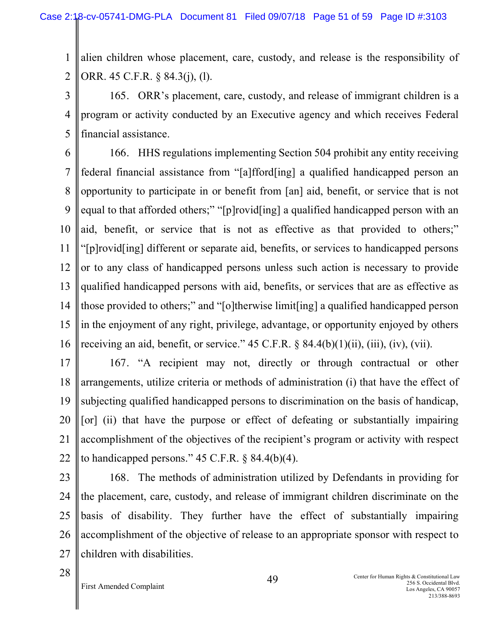1 2 alien children whose placement, care, custody, and release is the responsibility of ORR. 45 C.F.R. § 84.3(j), (l).

3 4 5 165. ORR's placement, care, custody, and release of immigrant children is a program or activity conducted by an Executive agency and which receives Federal financial assistance.

6 7 8 9 10 11 12 13 14 15 16 166. HHS regulations implementing Section 504 prohibit any entity receiving federal financial assistance from "[a]fford[ing] a qualified handicapped person an opportunity to participate in or benefit from [an] aid, benefit, or service that is not equal to that afforded others;" "[p]rovid[ing] a qualified handicapped person with an aid, benefit, or service that is not as effective as that provided to others;" "[p]rovid[ing] different or separate aid, benefits, or services to handicapped persons or to any class of handicapped persons unless such action is necessary to provide qualified handicapped persons with aid, benefits, or services that are as effective as those provided to others;" and "[o]therwise limit[ing] a qualified handicapped person in the enjoyment of any right, privilege, advantage, or opportunity enjoyed by others receiving an aid, benefit, or service."  $45$  C.F.R.  $\S$   $84.4(b)(1)(ii)$ , (iii), (iv), (vii).

17 18 19 20 21 22 167. "A recipient may not, directly or through contractual or other arrangements, utilize criteria or methods of administration (i) that have the effect of subjecting qualified handicapped persons to discrimination on the basis of handicap, [or] (ii) that have the purpose or effect of defeating or substantially impairing accomplishment of the objectives of the recipient's program or activity with respect to handicapped persons."  $45$  C.F.R. § 84.4(b)(4).

23

24 25 26 27 168. The methods of administration utilized by Defendants in providing for the placement, care, custody, and release of immigrant children discriminate on the basis of disability. They further have the effect of substantially impairing accomplishment of the objective of release to an appropriate sponsor with respect to children with disabilities.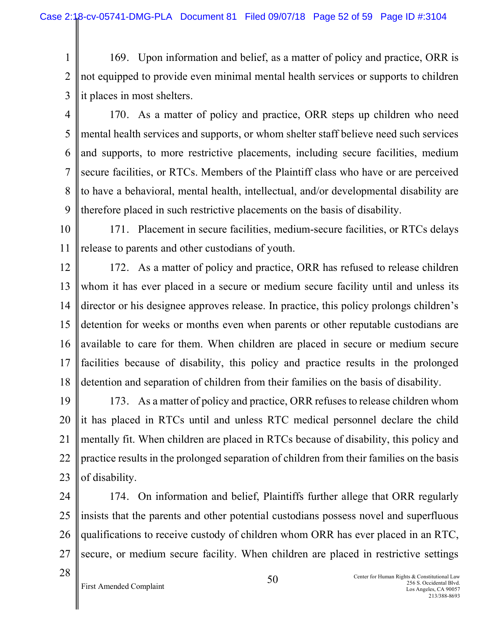1 2 3 169. Upon information and belief, as a matter of policy and practice, ORR is not equipped to provide even minimal mental health services or supports to children it places in most shelters.

4 5 6 7 8 9 170. As a matter of policy and practice, ORR steps up children who need mental health services and supports, or whom shelter staff believe need such services and supports, to more restrictive placements, including secure facilities, medium secure facilities, or RTCs. Members of the Plaintiff class who have or are perceived to have a behavioral, mental health, intellectual, and/or developmental disability are therefore placed in such restrictive placements on the basis of disability.

10 11 171. Placement in secure facilities, medium-secure facilities, or RTCs delays release to parents and other custodians of youth.

12 13 14 15 16 17 18 172. As a matter of policy and practice, ORR has refused to release children whom it has ever placed in a secure or medium secure facility until and unless its director or his designee approves release. In practice, this policy prolongs children's detention for weeks or months even when parents or other reputable custodians are available to care for them. When children are placed in secure or medium secure facilities because of disability, this policy and practice results in the prolonged detention and separation of children from their families on the basis of disability.

19 20 21 22 23 173. As a matter of policy and practice, ORR refuses to release children whom it has placed in RTCs until and unless RTC medical personnel declare the child mentally fit. When children are placed in RTCs because of disability, this policy and practice results in the prolonged separation of children from their families on the basis of disability.

24 25 26 27 174. On information and belief, Plaintiffs further allege that ORR regularly insists that the parents and other potential custodians possess novel and superfluous qualifications to receive custody of children whom ORR has ever placed in an RTC, secure, or medium secure facility. When children are placed in restrictive settings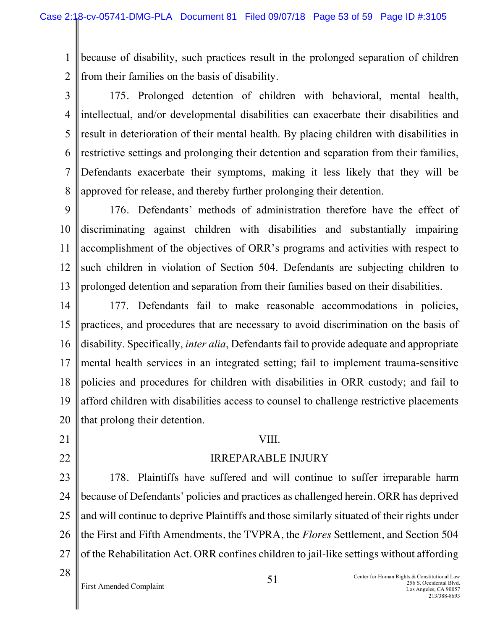1 2 because of disability, such practices result in the prolonged separation of children from their families on the basis of disability.

3

4 5 6 7 8 175. Prolonged detention of children with behavioral, mental health, intellectual, and/or developmental disabilities can exacerbate their disabilities and result in deterioration of their mental health. By placing children with disabilities in restrictive settings and prolonging their detention and separation from their families, Defendants exacerbate their symptoms, making it less likely that they will be approved for release, and thereby further prolonging their detention.

9 10 11 12 13 176. Defendants' methods of administration therefore have the effect of discriminating against children with disabilities and substantially impairing accomplishment of the objectives of ORR's programs and activities with respect to such children in violation of Section 504. Defendants are subjecting children to prolonged detention and separation from their families based on their disabilities.

14 15 16 17 18 19 20 177. Defendants fail to make reasonable accommodations in policies, practices, and procedures that are necessary to avoid discrimination on the basis of disability. Specifically, *inter alia*, Defendants fail to provide adequate and appropriate mental health services in an integrated setting; fail to implement trauma-sensitive policies and procedures for children with disabilities in ORR custody; and fail to afford children with disabilities access to counsel to challenge restrictive placements that prolong their detention.

21

22

#### VIII.

#### IRREPARABLE INJURY

23 24 25 26 27 178. Plaintiffs have suffered and will continue to suffer irreparable harm because of Defendants' policies and practices as challenged herein. ORR has deprived and will continue to deprive Plaintiffs and those similarly situated of their rights under the First and Fifth Amendments, the TVPRA, the *Flores* Settlement, and Section 504 of the Rehabilitation Act. ORR confines children to jail-like settings without affording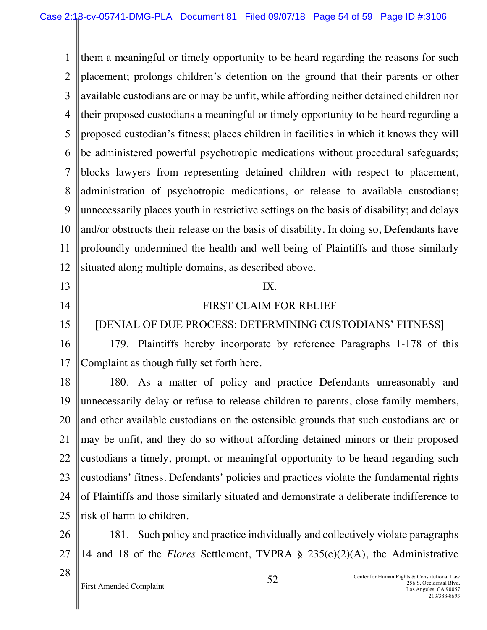1 2 3 4 5 6 7 8 9 10 11 12 13 them a meaningful or timely opportunity to be heard regarding the reasons for such placement; prolongs children's detention on the ground that their parents or other available custodians are or may be unfit, while affording neither detained children nor their proposed custodians a meaningful or timely opportunity to be heard regarding a proposed custodian's fitness; places children in facilities in which it knows they will be administered powerful psychotropic medications without procedural safeguards; blocks lawyers from representing detained children with respect to placement, administration of psychotropic medications, or release to available custodians; unnecessarily places youth in restrictive settings on the basis of disability; and delays and/or obstructs their release on the basis of disability. In doing so, Defendants have profoundly undermined the health and well-being of Plaintiffs and those similarly situated along multiple domains, as described above.

14

15

## IX.

## FIRST CLAIM FOR RELIEF

## [DENIAL OF DUE PROCESS: DETERMINING CUSTODIANS' FITNESS]

16 17 179. Plaintiffs hereby incorporate by reference Paragraphs 1-178 of this Complaint as though fully set forth here.

18 19 20 21 22 23 24 25 180. As a matter of policy and practice Defendants unreasonably and unnecessarily delay or refuse to release children to parents, close family members, and other available custodians on the ostensible grounds that such custodians are or may be unfit, and they do so without affording detained minors or their proposed custodians a timely, prompt, or meaningful opportunity to be heard regarding such custodians' fitness. Defendants' policies and practices violate the fundamental rights of Plaintiffs and those similarly situated and demonstrate a deliberate indifference to risk of harm to children.

26 27 181. Such policy and practice individually and collectively violate paragraphs 14 and 18 of the *Flores* Settlement, TVPRA § 235(c)(2)(A), the Administrative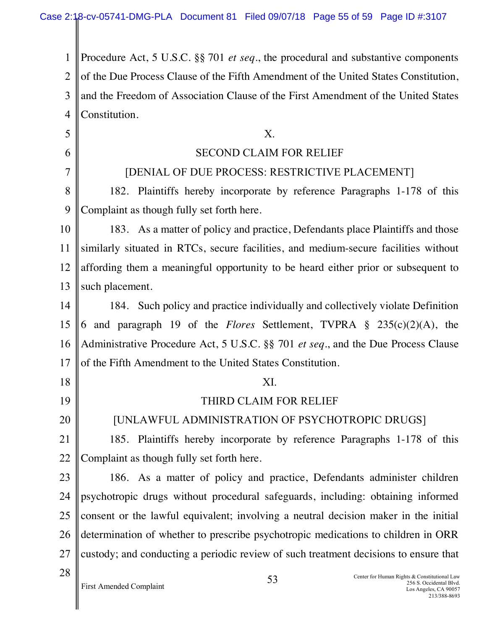1 2 3 4 Procedure Act, 5 U.S.C. §§ 701 *et seq*., the procedural and substantive components of the Due Process Clause of the Fifth Amendment of the United States Constitution, and the Freedom of Association Clause of the First Amendment of the United States Constitution.

First Amended Complaint Center for Human Rights & Constitutional Law 256 S. Occidental Blvd. 53 5 6 7 8 9 10 11 12 13 14 15 16 17 18 19 20 21 22 23 24 25 26 27 28 X. SECOND CLAIM FOR RELIEF [DENIAL OF DUE PROCESS: RESTRICTIVE PLACEMENT] 182. Plaintiffs hereby incorporate by reference Paragraphs 1-178 of this Complaint as though fully set forth here. 183. As a matter of policy and practice, Defendants place Plaintiffs and those similarly situated in RTCs, secure facilities, and medium-secure facilities without affording them a meaningful opportunity to be heard either prior or subsequent to such placement. 184. Such policy and practice individually and collectively violate Definition 6 and paragraph 19 of the *Flores* Settlement, TVPRA § 235(c)(2)(A), the Administrative Procedure Act, 5 U.S.C. §§ 701 *et seq*., and the Due Process Clause of the Fifth Amendment to the United States Constitution. XI. THIRD CLAIM FOR RELIEF [UNLAWFUL ADMINISTRATION OF PSYCHOTROPIC DRUGS] 185. Plaintiffs hereby incorporate by reference Paragraphs 1-178 of this Complaint as though fully set forth here. 186. As a matter of policy and practice, Defendants administer children psychotropic drugs without procedural safeguards, including: obtaining informed consent or the lawful equivalent; involving a neutral decision maker in the initial determination of whether to prescribe psychotropic medications to children in ORR custody; and conducting a periodic review of such treatment decisions to ensure that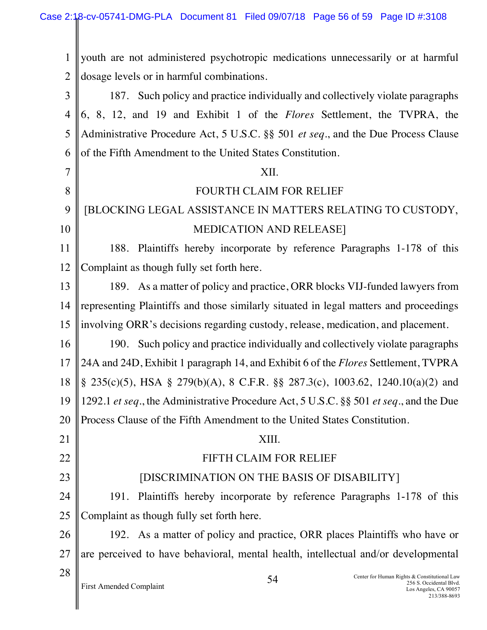II

| 1              | youth are not administered psychotropic medications unnecessarily or at harmful                                                                   |  |  |
|----------------|---------------------------------------------------------------------------------------------------------------------------------------------------|--|--|
| $\overline{2}$ | dosage levels or in harmful combinations.                                                                                                         |  |  |
| 3              | 187. Such policy and practice individually and collectively violate paragraphs                                                                    |  |  |
| $\overline{4}$ | 6, 8, 12, and 19 and Exhibit 1 of the <i>Flores</i> Settlement, the TVPRA, the                                                                    |  |  |
| 5              | Administrative Procedure Act, 5 U.S.C. §§ 501 et seq., and the Due Process Clause                                                                 |  |  |
| 6              | of the Fifth Amendment to the United States Constitution.                                                                                         |  |  |
| 7              | XII.                                                                                                                                              |  |  |
| 8              | FOURTH CLAIM FOR RELIEF                                                                                                                           |  |  |
| 9              | [BLOCKING LEGAL ASSISTANCE IN MATTERS RELATING TO CUSTODY,                                                                                        |  |  |
| 10             | <b>MEDICATION AND RELEASE]</b>                                                                                                                    |  |  |
| 11             | 188. Plaintiffs hereby incorporate by reference Paragraphs 1-178 of this                                                                          |  |  |
| 12             | Complaint as though fully set forth here.                                                                                                         |  |  |
| 13             | 189. As a matter of policy and practice, ORR blocks VIJ-funded lawyers from                                                                       |  |  |
| 14             | representing Plaintiffs and those similarly situated in legal matters and proceedings                                                             |  |  |
| 15             | involving ORR's decisions regarding custody, release, medication, and placement.                                                                  |  |  |
| 16             | 190. Such policy and practice individually and collectively violate paragraphs                                                                    |  |  |
| 17             | 24A and 24D, Exhibit 1 paragraph 14, and Exhibit 6 of the <i>Flores</i> Settlement, TVPRA                                                         |  |  |
| 18             | $\S$ 235(c)(5), HSA $\S$ 279(b)(A), 8 C.F.R. $\S$ $\S$ 287.3(c), 1003.62, 1240.10(a)(2) and                                                       |  |  |
| 19             | 1292.1 et seq., the Administrative Procedure Act, 5 U.S.C. §§ 501 et seq., and the Due                                                            |  |  |
| 20             | Process Clause of the Fifth Amendment to the United States Constitution.                                                                          |  |  |
| 21             | XIII.                                                                                                                                             |  |  |
| 22             | FIFTH CLAIM FOR RELIEF                                                                                                                            |  |  |
| 23             | [DISCRIMINATION ON THE BASIS OF DISABILITY]                                                                                                       |  |  |
| 24             | Plaintiffs hereby incorporate by reference Paragraphs 1-178 of this<br>191.                                                                       |  |  |
| 25             | Complaint as though fully set forth here.                                                                                                         |  |  |
| 26             | 192. As a matter of policy and practice, ORR places Plaintiffs who have or                                                                        |  |  |
| 27             | are perceived to have behavioral, mental health, intellectual and/or developmental                                                                |  |  |
| 28             | Center for Human Rights & Constitutional Law<br>54<br>256 S. Occidental Blvd.<br>First Amended Complaint<br>Los Angeles, CA 90057<br>213/388-8693 |  |  |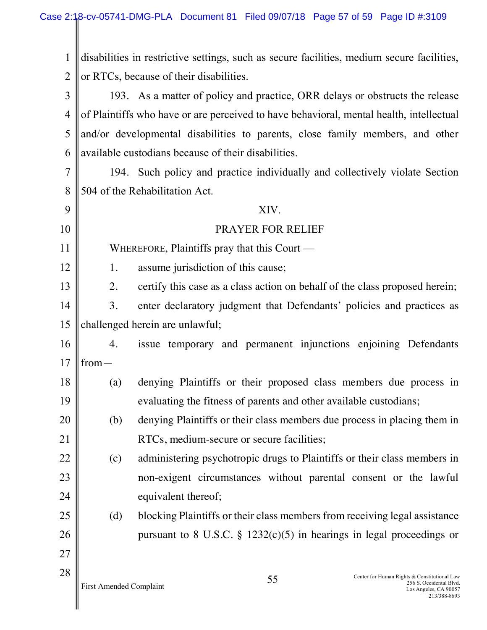1 2 disabilities in restrictive settings, such as secure facilities, medium secure facilities, or RTCs, because of their disabilities.

3 4 5 6 193. As a matter of policy and practice, ORR delays or obstructs the release of Plaintiffs who have or are perceived to have behavioral, mental health, intellectual and/or developmental disabilities to parents, close family members, and other available custodians because of their disabilities.

7 8 194. Such policy and practice individually and collectively violate Section 504 of the Rehabilitation Act.

| 9  |                                | XIV.                                                                                                                   |
|----|--------------------------------|------------------------------------------------------------------------------------------------------------------------|
| 10 |                                | PRAYER FOR RELIEF                                                                                                      |
| 11 |                                | WHEREFORE, Plaintiffs pray that this Court —                                                                           |
| 12 | 1.                             | assume jurisdiction of this cause;                                                                                     |
| 13 | 2.                             | certify this case as a class action on behalf of the class proposed herein;                                            |
| 14 | 3.                             | enter declaratory judgment that Defendants' policies and practices as                                                  |
| 15 |                                | challenged herein are unlawful;                                                                                        |
| 16 | 4.                             | issue temporary and permanent injunctions enjoining Defendants                                                         |
| 17 | $from-$                        |                                                                                                                        |
| 18 | (a)                            | denying Plaintiffs or their proposed class members due process in                                                      |
| 19 |                                | evaluating the fitness of parents and other available custodians;                                                      |
| 20 | (b)                            | denying Plaintiffs or their class members due process in placing them in                                               |
| 21 |                                | RTCs, medium-secure or secure facilities;                                                                              |
| 22 | (c)                            | administering psychotropic drugs to Plaintiffs or their class members in                                               |
| 23 |                                | non-exigent circumstances without parental consent or the lawful                                                       |
| 24 |                                | equivalent thereof;                                                                                                    |
| 25 | (d)                            | blocking Plaintiffs or their class members from receiving legal assistance                                             |
| 26 |                                | pursuant to 8 U.S.C. § 1232(c)(5) in hearings in legal proceedings or                                                  |
| 27 |                                |                                                                                                                        |
| 28 | <b>First Amended Complaint</b> | Center for Human Rights & Constitutional Law<br>55<br>256 S. Occidental Blvd.<br>Los Angeles, CA 90057<br>213/388-8693 |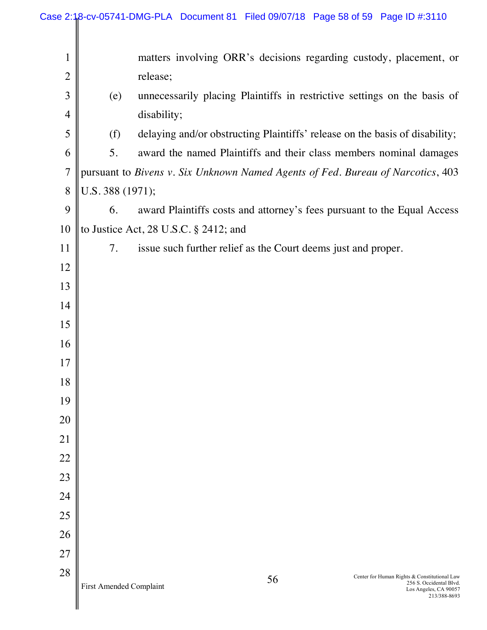|                |                         |                                       |    | Case 2:18-cv-05741-DMG-PLA Document 81 Filed 09/07/18 Page 58 of 59 Page ID #:3110 |                                                                  |
|----------------|-------------------------|---------------------------------------|----|------------------------------------------------------------------------------------|------------------------------------------------------------------|
| $\mathbf{1}$   |                         |                                       |    | matters involving ORR's decisions regarding custody, placement, or                 |                                                                  |
| $\overline{c}$ |                         | release;                              |    |                                                                                    |                                                                  |
| $\mathfrak{Z}$ | (e)                     |                                       |    | unnecessarily placing Plaintiffs in restrictive settings on the basis of           |                                                                  |
| $\overline{4}$ |                         | disability;                           |    |                                                                                    |                                                                  |
| 5              | (f)                     |                                       |    | delaying and/or obstructing Plaintiffs' release on the basis of disability;        |                                                                  |
| 6              | 5.                      |                                       |    | award the named Plaintiffs and their class members nominal damages                 |                                                                  |
| $\overline{7}$ |                         |                                       |    | pursuant to Bivens v. Six Unknown Named Agents of Fed. Bureau of Narcotics, 403    |                                                                  |
| $\,$ $\,$      | U.S. 388 (1971);        |                                       |    |                                                                                    |                                                                  |
| 9              | 6.                      |                                       |    | award Plaintiffs costs and attorney's fees pursuant to the Equal Access            |                                                                  |
| 10             |                         | to Justice Act, 28 U.S.C. § 2412; and |    |                                                                                    |                                                                  |
| 11             | 7.                      |                                       |    | issue such further relief as the Court deems just and proper.                      |                                                                  |
| 12             |                         |                                       |    |                                                                                    |                                                                  |
| 13             |                         |                                       |    |                                                                                    |                                                                  |
| 14             |                         |                                       |    |                                                                                    |                                                                  |
| 15             |                         |                                       |    |                                                                                    |                                                                  |
| 16             |                         |                                       |    |                                                                                    |                                                                  |
| 17             |                         |                                       |    |                                                                                    |                                                                  |
| 18             |                         |                                       |    |                                                                                    |                                                                  |
| 19             |                         |                                       |    |                                                                                    |                                                                  |
| 20             |                         |                                       |    |                                                                                    |                                                                  |
| 21             |                         |                                       |    |                                                                                    |                                                                  |
| 22             |                         |                                       |    |                                                                                    |                                                                  |
| 23             |                         |                                       |    |                                                                                    |                                                                  |
| 24<br>25       |                         |                                       |    |                                                                                    |                                                                  |
| 26             |                         |                                       |    |                                                                                    |                                                                  |
| 27             |                         |                                       |    |                                                                                    |                                                                  |
| 28             |                         |                                       |    |                                                                                    |                                                                  |
|                | First Amended Complaint |                                       | 56 | Center for Human Rights & Constitutional Law                                       | 256 S. Occidental Blvd.<br>Los Angeles, CA 90057<br>213/388-8693 |